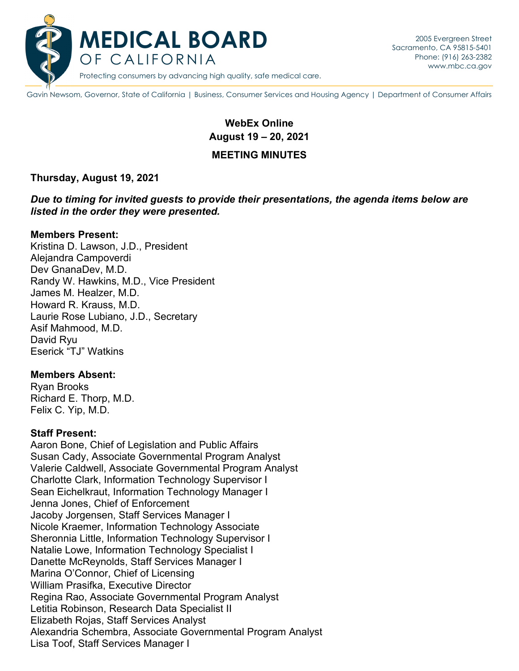

Gavin Newsom, Governor, State of California | Business, Consumer Services and Housing Agency | Department of Consumer Affairs

# **WebEx Online August 19 – 20, 2021**

#### **MEETING MINUTES**

#### **Thursday, August 19, 2021**

*Due to timing for invited guests to provide their presentations, the agenda items below are listed in the order they were presented.*

#### **Members Present:**

Kristina D. Lawson, J.D., President Alejandra Campoverdi Dev GnanaDev, M.D. Randy W. Hawkins, M.D., Vice President James M. Healzer, M.D. Howard R. Krauss, M.D. Laurie Rose Lubiano, J.D., Secretary Asif Mahmood, M.D. David Ryu Eserick "TJ" Watkins

#### **Members Absent:**

Ryan Brooks Richard E. Thorp, M.D. Felix C. Yip, M.D.

#### **Staff Present:**

Aaron Bone, Chief of Legislation and Public Affairs Susan Cady, Associate Governmental Program Analyst Valerie Caldwell, Associate Governmental Program Analyst Charlotte Clark, Information Technology Supervisor I Sean Eichelkraut, Information Technology Manager I Jenna Jones, Chief of Enforcement Jacoby Jorgensen, Staff Services Manager I Nicole Kraemer, Information Technology Associate Sheronnia Little, Information Technology Supervisor I Natalie Lowe, Information Technology Specialist I Danette McReynolds, Staff Services Manager I Marina O'Connor, Chief of Licensing William Prasifka, Executive Director Regina Rao, Associate Governmental Program Analyst Letitia Robinson, Research Data Specialist II Elizabeth Rojas, Staff Services Analyst Alexandria Schembra, Associate Governmental Program Analyst Lisa Toof, Staff Services Manager I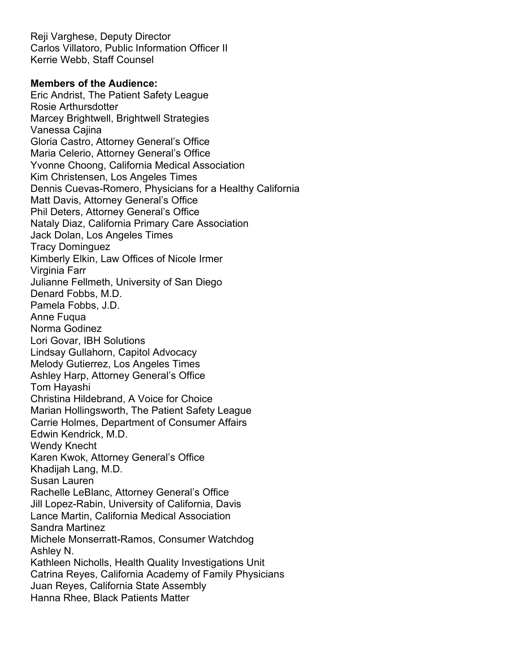Reji Varghese, Deputy Director Carlos Villatoro, Public Information Officer II Kerrie Webb, Staff Counsel

#### **Members of the Audience:**

Eric Andrist, The Patient Safety League Rosie Arthursdotter Marcey Brightwell, Brightwell Strategies Vanessa Cajina Gloria Castro, Attorney General's Office Maria Celerio, Attorney General's Office Yvonne Choong, California Medical Association Kim Christensen, Los Angeles Times Dennis Cuevas-Romero, Physicians for a Healthy California Matt Davis, Attorney General's Office Phil Deters, Attorney General's Office Nataly Diaz, California Primary Care Association Jack Dolan, Los Angeles Times Tracy Dominguez Kimberly Elkin, Law Offices of Nicole Irmer Virginia Farr Julianne Fellmeth, University of San Diego Denard Fobbs, M.D. Pamela Fobbs, J.D. Anne Fuqua Norma Godinez Lori Govar, IBH Solutions Lindsay Gullahorn, Capitol Advocacy Melody Gutierrez, Los Angeles Times Ashley Harp, Attorney General's Office Tom Hayashi Christina Hildebrand, A Voice for Choice Marian Hollingsworth, The Patient Safety League Carrie Holmes, Department of Consumer Affairs Edwin Kendrick, M.D. Wendy Knecht Karen Kwok, Attorney General's Office Khadijah Lang, M.D. Susan Lauren Rachelle LeBlanc, Attorney General's Office Jill Lopez-Rabin, University of California, Davis Lance Martin, California Medical Association Sandra Martinez Michele Monserratt-Ramos, Consumer Watchdog Ashley N. Kathleen Nicholls, Health Quality Investigations Unit Catrina Reyes, California Academy of Family Physicians Juan Reyes, California State Assembly Hanna Rhee, Black Patients Matter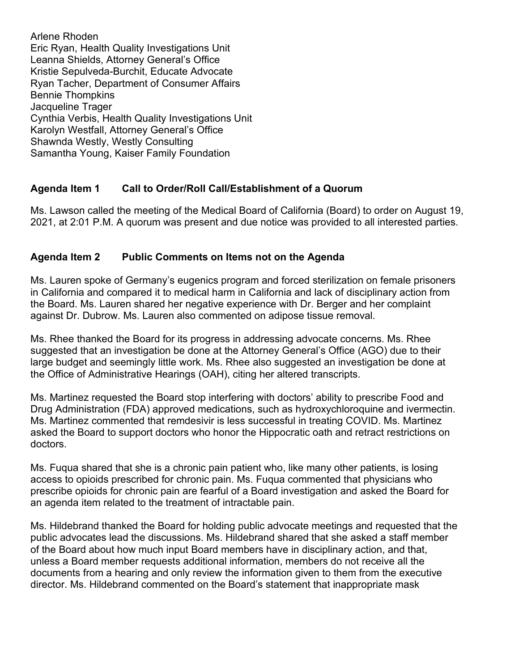Arlene Rhoden Eric Ryan, Health Quality Investigations Unit Leanna Shields, Attorney General's Office Kristie Sepulveda-Burchit, Educate Advocate Ryan Tacher, Department of Consumer Affairs Bennie Thompkins Jacqueline Trager Cynthia Verbis, Health Quality Investigations Unit Karolyn Westfall, Attorney General's Office Shawnda Westly, Westly Consulting Samantha Young, Kaiser Family Foundation

# **Agenda Item 1 Call to Order/Roll Call/Establishment of a Quorum**

Ms. Lawson called the meeting of the Medical Board of California (Board) to order on August 19, 2021, at 2:01 P.M. A quorum was present and due notice was provided to all interested parties.

# **Agenda Item 2 Public Comments on Items not on the Agenda**

Ms. Lauren spoke of Germany's eugenics program and forced sterilization on female prisoners in California and compared it to medical harm in California and lack of disciplinary action from the Board. Ms. Lauren shared her negative experience with Dr. Berger and her complaint against Dr. Dubrow. Ms. Lauren also commented on adipose tissue removal.

Ms. Rhee thanked the Board for its progress in addressing advocate concerns. Ms. Rhee suggested that an investigation be done at the Attorney General's Office (AGO) due to their large budget and seemingly little work. Ms. Rhee also suggested an investigation be done at the Office of Administrative Hearings (OAH), citing her altered transcripts.

Ms. Martinez requested the Board stop interfering with doctors' ability to prescribe Food and Drug Administration (FDA) approved medications, such as hydroxychloroquine and ivermectin. Ms. Martinez commented that remdesivir is less successful in treating COVID. Ms. Martinez asked the Board to support doctors who honor the Hippocratic oath and retract restrictions on doctors.

Ms. Fuqua shared that she is a chronic pain patient who, like many other patients, is losing access to opioids prescribed for chronic pain. Ms. Fuqua commented that physicians who prescribe opioids for chronic pain are fearful of a Board investigation and asked the Board for an agenda item related to the treatment of intractable pain.

Ms. Hildebrand thanked the Board for holding public advocate meetings and requested that the public advocates lead the discussions. Ms. Hildebrand shared that she asked a staff member of the Board about how much input Board members have in disciplinary action, and that, unless a Board member requests additional information, members do not receive all the documents from a hearing and only review the information given to them from the executive director. Ms. Hildebrand commented on the Board's statement that inappropriate mask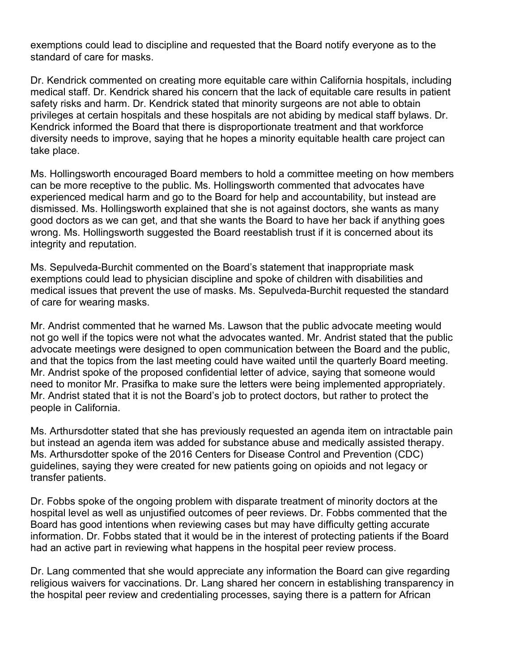exemptions could lead to discipline and requested that the Board notify everyone as to the standard of care for masks.

Dr. Kendrick commented on creating more equitable care within California hospitals, including medical staff. Dr. Kendrick shared his concern that the lack of equitable care results in patient safety risks and harm. Dr. Kendrick stated that minority surgeons are not able to obtain privileges at certain hospitals and these hospitals are not abiding by medical staff bylaws. Dr. Kendrick informed the Board that there is disproportionate treatment and that workforce diversity needs to improve, saying that he hopes a minority equitable health care project can take place.

Ms. Hollingsworth encouraged Board members to hold a committee meeting on how members can be more receptive to the public. Ms. Hollingsworth commented that advocates have experienced medical harm and go to the Board for help and accountability, but instead are dismissed. Ms. Hollingsworth explained that she is not against doctors, she wants as many good doctors as we can get, and that she wants the Board to have her back if anything goes wrong. Ms. Hollingsworth suggested the Board reestablish trust if it is concerned about its integrity and reputation.

Ms. Sepulveda-Burchit commented on the Board's statement that inappropriate mask exemptions could lead to physician discipline and spoke of children with disabilities and medical issues that prevent the use of masks. Ms. Sepulveda-Burchit requested the standard of care for wearing masks.

Mr. Andrist commented that he warned Ms. Lawson that the public advocate meeting would not go well if the topics were not what the advocates wanted. Mr. Andrist stated that the public advocate meetings were designed to open communication between the Board and the public, and that the topics from the last meeting could have waited until the quarterly Board meeting. Mr. Andrist spoke of the proposed confidential letter of advice, saying that someone would need to monitor Mr. Prasifka to make sure the letters were being implemented appropriately. Mr. Andrist stated that it is not the Board's job to protect doctors, but rather to protect the people in California.

Ms. Arthursdotter stated that she has previously requested an agenda item on intractable pain but instead an agenda item was added for substance abuse and medically assisted therapy. Ms. Arthursdotter spoke of the 2016 Centers for Disease Control and Prevention (CDC) guidelines, saying they were created for new patients going on opioids and not legacy or transfer patients.

Dr. Fobbs spoke of the ongoing problem with disparate treatment of minority doctors at the hospital level as well as unjustified outcomes of peer reviews. Dr. Fobbs commented that the Board has good intentions when reviewing cases but may have difficulty getting accurate information. Dr. Fobbs stated that it would be in the interest of protecting patients if the Board had an active part in reviewing what happens in the hospital peer review process.

Dr. Lang commented that she would appreciate any information the Board can give regarding religious waivers for vaccinations. Dr. Lang shared her concern in establishing transparency in the hospital peer review and credentialing processes, saying there is a pattern for African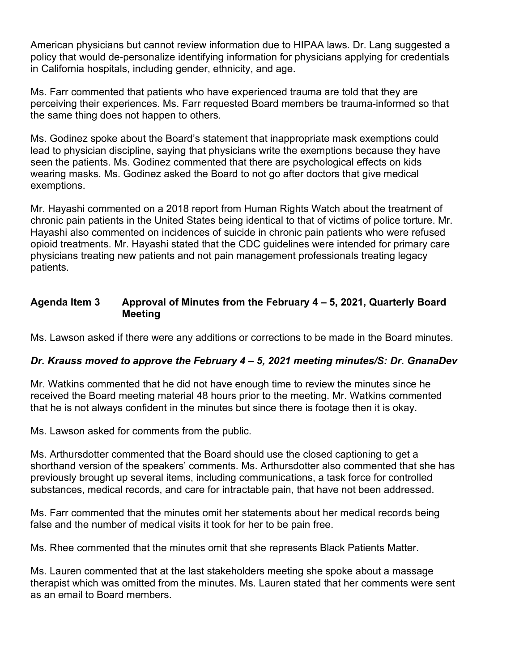American physicians but cannot review information due to HIPAA laws. Dr. Lang suggested a policy that would de-personalize identifying information for physicians applying for credentials in California hospitals, including gender, ethnicity, and age.

Ms. Farr commented that patients who have experienced trauma are told that they are perceiving their experiences. Ms. Farr requested Board members be trauma-informed so that the same thing does not happen to others.

Ms. Godinez spoke about the Board's statement that inappropriate mask exemptions could lead to physician discipline, saying that physicians write the exemptions because they have seen the patients. Ms. Godinez commented that there are psychological effects on kids wearing masks. Ms. Godinez asked the Board to not go after doctors that give medical exemptions.

Mr. Hayashi commented on a 2018 report from Human Rights Watch about the treatment of chronic pain patients in the United States being identical to that of victims of police torture. Mr. Hayashi also commented on incidences of suicide in chronic pain patients who were refused opioid treatments. Mr. Hayashi stated that the CDC guidelines were intended for primary care physicians treating new patients and not pain management professionals treating legacy patients.

#### **Agenda Item 3 Approval of Minutes from the February 4 – 5, 2021, Quarterly Board Meeting**

Ms. Lawson asked if there were any additions or corrections to be made in the Board minutes.

# *Dr. Krauss moved to approve the February 4 – 5, 2021 meeting minutes/S: Dr. GnanaDev*

Mr. Watkins commented that he did not have enough time to review the minutes since he received the Board meeting material 48 hours prior to the meeting. Mr. Watkins commented that he is not always confident in the minutes but since there is footage then it is okay.

Ms. Lawson asked for comments from the public.

Ms. Arthursdotter commented that the Board should use the closed captioning to get a shorthand version of the speakers' comments. Ms. Arthursdotter also commented that she has previously brought up several items, including communications, a task force for controlled substances, medical records, and care for intractable pain, that have not been addressed.

Ms. Farr commented that the minutes omit her statements about her medical records being false and the number of medical visits it took for her to be pain free.

Ms. Rhee commented that the minutes omit that she represents Black Patients Matter.

Ms. Lauren commented that at the last stakeholders meeting she spoke about a massage therapist which was omitted from the minutes. Ms. Lauren stated that her comments were sent as an email to Board members.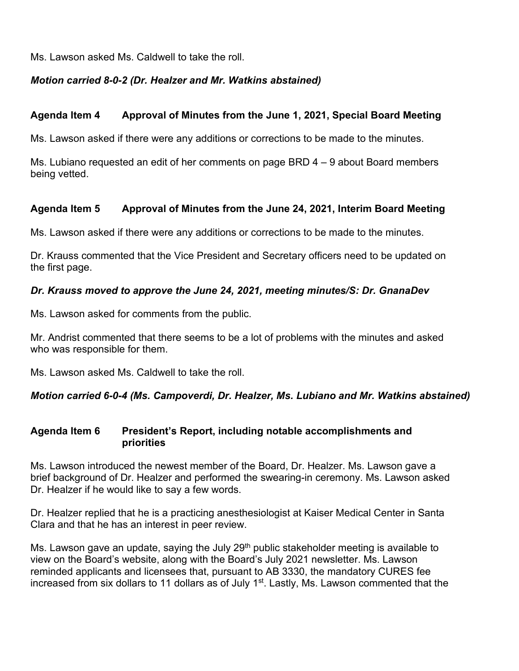Ms. Lawson asked Ms. Caldwell to take the roll.

# *Motion carried 8-0-2 (Dr. Healzer and Mr. Watkins abstained)*

#### **Agenda Item 4 Approval of Minutes from the June 1, 2021, Special Board Meeting**

Ms. Lawson asked if there were any additions or corrections to be made to the minutes.

Ms. Lubiano requested an edit of her comments on page BRD 4 – 9 about Board members being vetted.

#### **Agenda Item 5 Approval of Minutes from the June 24, 2021, Interim Board Meeting**

Ms. Lawson asked if there were any additions or corrections to be made to the minutes.

Dr. Krauss commented that the Vice President and Secretary officers need to be updated on the first page.

#### *Dr. Krauss moved to approve the June 24, 2021, meeting minutes/S: Dr. GnanaDev*

Ms. Lawson asked for comments from the public.

Mr. Andrist commented that there seems to be a lot of problems with the minutes and asked who was responsible for them.

Ms. Lawson asked Ms. Caldwell to take the roll.

*Motion carried 6-0-4 (Ms. Campoverdi, Dr. Healzer, Ms. Lubiano and Mr. Watkins abstained)*

#### **Agenda Item 6 President's Report, including notable accomplishments and priorities**

Ms. Lawson introduced the newest member of the Board, Dr. Healzer. Ms. Lawson gave a brief background of Dr. Healzer and performed the swearing-in ceremony. Ms. Lawson asked Dr. Healzer if he would like to say a few words.

Dr. Healzer replied that he is a practicing anesthesiologist at Kaiser Medical Center in Santa Clara and that he has an interest in peer review.

Ms. Lawson gave an update, saying the July 29<sup>th</sup> public stakeholder meeting is available to view on the Board's website, along with the Board's July 2021 newsletter. Ms. Lawson reminded applicants and licensees that, pursuant to AB 3330, the mandatory CURES fee increased from six dollars to 11 dollars as of July 1<sup>st</sup>. Lastly, Ms. Lawson commented that the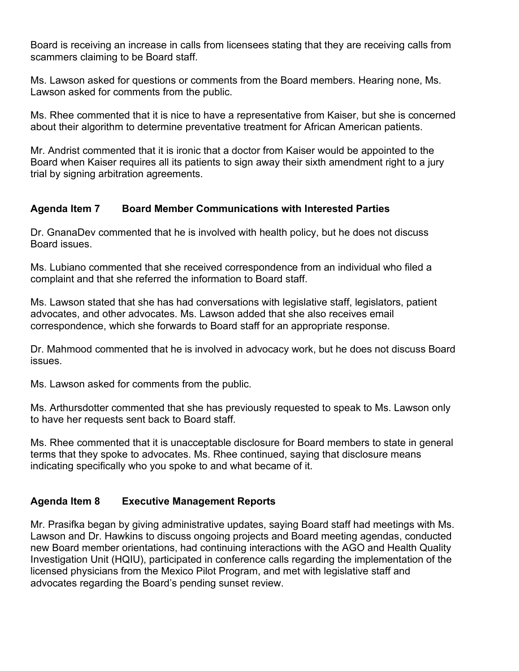Board is receiving an increase in calls from licensees stating that they are receiving calls from scammers claiming to be Board staff.

Ms. Lawson asked for questions or comments from the Board members. Hearing none, Ms. Lawson asked for comments from the public.

Ms. Rhee commented that it is nice to have a representative from Kaiser, but she is concerned about their algorithm to determine preventative treatment for African American patients.

Mr. Andrist commented that it is ironic that a doctor from Kaiser would be appointed to the Board when Kaiser requires all its patients to sign away their sixth amendment right to a jury trial by signing arbitration agreements.

# **Agenda Item 7 Board Member Communications with Interested Parties**

Dr. GnanaDev commented that he is involved with health policy, but he does not discuss Board issues.

Ms. Lubiano commented that she received correspondence from an individual who filed a complaint and that she referred the information to Board staff.

Ms. Lawson stated that she has had conversations with legislative staff, legislators, patient advocates, and other advocates. Ms. Lawson added that she also receives email correspondence, which she forwards to Board staff for an appropriate response.

Dr. Mahmood commented that he is involved in advocacy work, but he does not discuss Board issues.

Ms. Lawson asked for comments from the public.

Ms. Arthursdotter commented that she has previously requested to speak to Ms. Lawson only to have her requests sent back to Board staff.

Ms. Rhee commented that it is unacceptable disclosure for Board members to state in general terms that they spoke to advocates. Ms. Rhee continued, saying that disclosure means indicating specifically who you spoke to and what became of it.

# **Agenda Item 8 Executive Management Reports**

Mr. Prasifka began by giving administrative updates, saying Board staff had meetings with Ms. Lawson and Dr. Hawkins to discuss ongoing projects and Board meeting agendas, conducted new Board member orientations, had continuing interactions with the AGO and Health Quality Investigation Unit (HQIU), participated in conference calls regarding the implementation of the licensed physicians from the Mexico Pilot Program, and met with legislative staff and advocates regarding the Board's pending sunset review.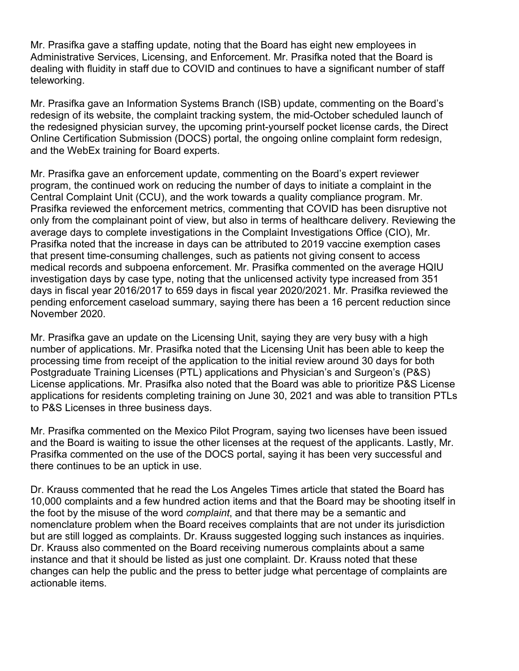Mr. Prasifka gave a staffing update, noting that the Board has eight new employees in Administrative Services, Licensing, and Enforcement. Mr. Prasifka noted that the Board is dealing with fluidity in staff due to COVID and continues to have a significant number of staff teleworking.

Mr. Prasifka gave an Information Systems Branch (ISB) update, commenting on the Board's redesign of its website, the complaint tracking system, the mid-October scheduled launch of the redesigned physician survey, the upcoming print-yourself pocket license cards, the Direct Online Certification Submission (DOCS) portal, the ongoing online complaint form redesign, and the WebEx training for Board experts.

Mr. Prasifka gave an enforcement update, commenting on the Board's expert reviewer program, the continued work on reducing the number of days to initiate a complaint in the Central Complaint Unit (CCU), and the work towards a quality compliance program. Mr. Prasifka reviewed the enforcement metrics, commenting that COVID has been disruptive not only from the complainant point of view, but also in terms of healthcare delivery. Reviewing the average days to complete investigations in the Complaint Investigations Office (CIO), Mr. Prasifka noted that the increase in days can be attributed to 2019 vaccine exemption cases that present time-consuming challenges, such as patients not giving consent to access medical records and subpoena enforcement. Mr. Prasifka commented on the average HQIU investigation days by case type, noting that the unlicensed activity type increased from 351 days in fiscal year 2016/2017 to 659 days in fiscal year 2020/2021. Mr. Prasifka reviewed the pending enforcement caseload summary, saying there has been a 16 percent reduction since November 2020.

Mr. Prasifka gave an update on the Licensing Unit, saying they are very busy with a high number of applications. Mr. Prasifka noted that the Licensing Unit has been able to keep the processing time from receipt of the application to the initial review around 30 days for both Postgraduate Training Licenses (PTL) applications and Physician's and Surgeon's (P&S) License applications. Mr. Prasifka also noted that the Board was able to prioritize P&S License applications for residents completing training on June 30, 2021 and was able to transition PTLs to P&S Licenses in three business days.

Mr. Prasifka commented on the Mexico Pilot Program, saying two licenses have been issued and the Board is waiting to issue the other licenses at the request of the applicants. Lastly, Mr. Prasifka commented on the use of the DOCS portal, saying it has been very successful and there continues to be an uptick in use.

Dr. Krauss commented that he read the Los Angeles Times article that stated the Board has 10,000 complaints and a few hundred action items and that the Board may be shooting itself in the foot by the misuse of the word *complaint*, and that there may be a semantic and nomenclature problem when the Board receives complaints that are not under its jurisdiction but are still logged as complaints. Dr. Krauss suggested logging such instances as inquiries. Dr. Krauss also commented on the Board receiving numerous complaints about a same instance and that it should be listed as just one complaint. Dr. Krauss noted that these changes can help the public and the press to better judge what percentage of complaints are actionable items.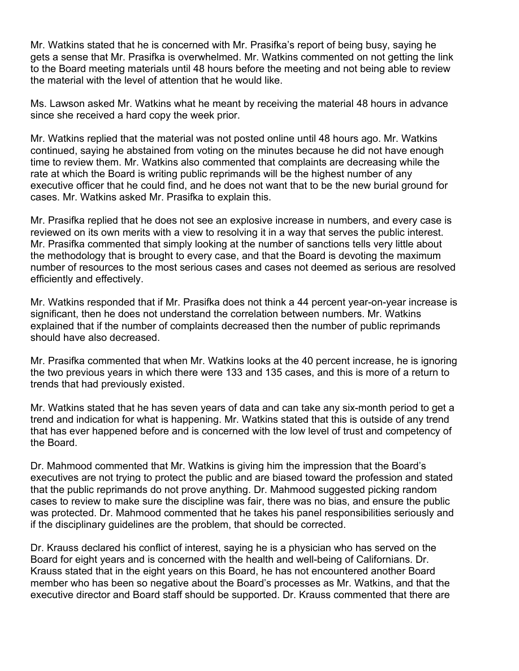Mr. Watkins stated that he is concerned with Mr. Prasifka's report of being busy, saying he gets a sense that Mr. Prasifka is overwhelmed. Mr. Watkins commented on not getting the link to the Board meeting materials until 48 hours before the meeting and not being able to review the material with the level of attention that he would like.

Ms. Lawson asked Mr. Watkins what he meant by receiving the material 48 hours in advance since she received a hard copy the week prior.

Mr. Watkins replied that the material was not posted online until 48 hours ago. Mr. Watkins continued, saying he abstained from voting on the minutes because he did not have enough time to review them. Mr. Watkins also commented that complaints are decreasing while the rate at which the Board is writing public reprimands will be the highest number of any executive officer that he could find, and he does not want that to be the new burial ground for cases. Mr. Watkins asked Mr. Prasifka to explain this.

Mr. Prasifka replied that he does not see an explosive increase in numbers, and every case is reviewed on its own merits with a view to resolving it in a way that serves the public interest. Mr. Prasifka commented that simply looking at the number of sanctions tells very little about the methodology that is brought to every case, and that the Board is devoting the maximum number of resources to the most serious cases and cases not deemed as serious are resolved efficiently and effectively.

Mr. Watkins responded that if Mr. Prasifka does not think a 44 percent year-on-year increase is significant, then he does not understand the correlation between numbers. Mr. Watkins explained that if the number of complaints decreased then the number of public reprimands should have also decreased.

Mr. Prasifka commented that when Mr. Watkins looks at the 40 percent increase, he is ignoring the two previous years in which there were 133 and 135 cases, and this is more of a return to trends that had previously existed.

Mr. Watkins stated that he has seven years of data and can take any six-month period to get a trend and indication for what is happening. Mr. Watkins stated that this is outside of any trend that has ever happened before and is concerned with the low level of trust and competency of the Board.

Dr. Mahmood commented that Mr. Watkins is giving him the impression that the Board's executives are not trying to protect the public and are biased toward the profession and stated that the public reprimands do not prove anything. Dr. Mahmood suggested picking random cases to review to make sure the discipline was fair, there was no bias, and ensure the public was protected. Dr. Mahmood commented that he takes his panel responsibilities seriously and if the disciplinary guidelines are the problem, that should be corrected.

Dr. Krauss declared his conflict of interest, saying he is a physician who has served on the Board for eight years and is concerned with the health and well-being of Californians. Dr. Krauss stated that in the eight years on this Board, he has not encountered another Board member who has been so negative about the Board's processes as Mr. Watkins, and that the executive director and Board staff should be supported. Dr. Krauss commented that there are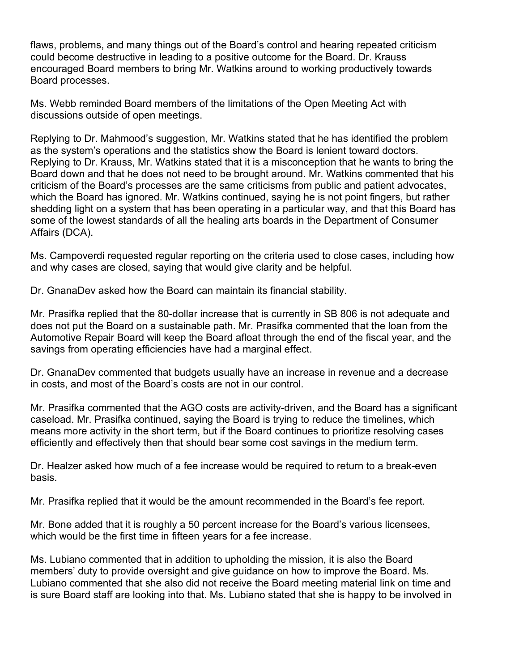flaws, problems, and many things out of the Board's control and hearing repeated criticism could become destructive in leading to a positive outcome for the Board. Dr. Krauss encouraged Board members to bring Mr. Watkins around to working productively towards Board processes.

Ms. Webb reminded Board members of the limitations of the Open Meeting Act with discussions outside of open meetings.

Replying to Dr. Mahmood's suggestion, Mr. Watkins stated that he has identified the problem as the system's operations and the statistics show the Board is lenient toward doctors. Replying to Dr. Krauss, Mr. Watkins stated that it is a misconception that he wants to bring the Board down and that he does not need to be brought around. Mr. Watkins commented that his criticism of the Board's processes are the same criticisms from public and patient advocates, which the Board has ignored. Mr. Watkins continued, saying he is not point fingers, but rather shedding light on a system that has been operating in a particular way, and that this Board has some of the lowest standards of all the healing arts boards in the Department of Consumer Affairs (DCA).

Ms. Campoverdi requested regular reporting on the criteria used to close cases, including how and why cases are closed, saying that would give clarity and be helpful.

Dr. GnanaDev asked how the Board can maintain its financial stability.

Mr. Prasifka replied that the 80-dollar increase that is currently in SB 806 is not adequate and does not put the Board on a sustainable path. Mr. Prasifka commented that the loan from the Automotive Repair Board will keep the Board afloat through the end of the fiscal year, and the savings from operating efficiencies have had a marginal effect.

Dr. GnanaDev commented that budgets usually have an increase in revenue and a decrease in costs, and most of the Board's costs are not in our control.

Mr. Prasifka commented that the AGO costs are activity-driven, and the Board has a significant caseload. Mr. Prasifka continued, saying the Board is trying to reduce the timelines, which means more activity in the short term, but if the Board continues to prioritize resolving cases efficiently and effectively then that should bear some cost savings in the medium term.

Dr. Healzer asked how much of a fee increase would be required to return to a break-even basis.

Mr. Prasifka replied that it would be the amount recommended in the Board's fee report.

Mr. Bone added that it is roughly a 50 percent increase for the Board's various licensees, which would be the first time in fifteen years for a fee increase.

Ms. Lubiano commented that in addition to upholding the mission, it is also the Board members' duty to provide oversight and give guidance on how to improve the Board. Ms. Lubiano commented that she also did not receive the Board meeting material link on time and is sure Board staff are looking into that. Ms. Lubiano stated that she is happy to be involved in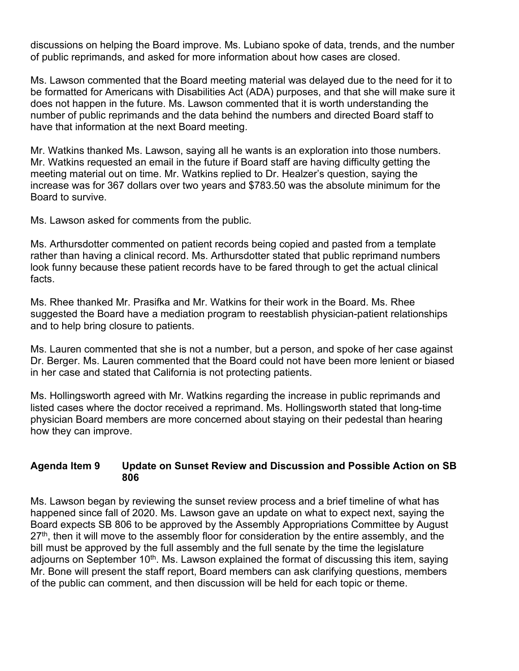discussions on helping the Board improve. Ms. Lubiano spoke of data, trends, and the number of public reprimands, and asked for more information about how cases are closed.

Ms. Lawson commented that the Board meeting material was delayed due to the need for it to be formatted for Americans with Disabilities Act (ADA) purposes, and that she will make sure it does not happen in the future. Ms. Lawson commented that it is worth understanding the number of public reprimands and the data behind the numbers and directed Board staff to have that information at the next Board meeting.

Mr. Watkins thanked Ms. Lawson, saying all he wants is an exploration into those numbers. Mr. Watkins requested an email in the future if Board staff are having difficulty getting the meeting material out on time. Mr. Watkins replied to Dr. Healzer's question, saying the increase was for 367 dollars over two years and \$783.50 was the absolute minimum for the Board to survive.

Ms. Lawson asked for comments from the public.

Ms. Arthursdotter commented on patient records being copied and pasted from a template rather than having a clinical record. Ms. Arthursdotter stated that public reprimand numbers look funny because these patient records have to be fared through to get the actual clinical facts.

Ms. Rhee thanked Mr. Prasifka and Mr. Watkins for their work in the Board. Ms. Rhee suggested the Board have a mediation program to reestablish physician-patient relationships and to help bring closure to patients.

Ms. Lauren commented that she is not a number, but a person, and spoke of her case against Dr. Berger. Ms. Lauren commented that the Board could not have been more lenient or biased in her case and stated that California is not protecting patients.

Ms. Hollingsworth agreed with Mr. Watkins regarding the increase in public reprimands and listed cases where the doctor received a reprimand. Ms. Hollingsworth stated that long-time physician Board members are more concerned about staying on their pedestal than hearing how they can improve.

#### **Agenda Item 9 Update on Sunset Review and Discussion and Possible Action on SB 806**

Ms. Lawson began by reviewing the sunset review process and a brief timeline of what has happened since fall of 2020. Ms. Lawson gave an update on what to expect next, saying the Board expects SB 806 to be approved by the Assembly Appropriations Committee by August  $27<sup>th</sup>$ , then it will move to the assembly floor for consideration by the entire assembly, and the bill must be approved by the full assembly and the full senate by the time the legislature adjourns on September 10<sup>th</sup>. Ms. Lawson explained the format of discussing this item, saying Mr. Bone will present the staff report, Board members can ask clarifying questions, members of the public can comment, and then discussion will be held for each topic or theme.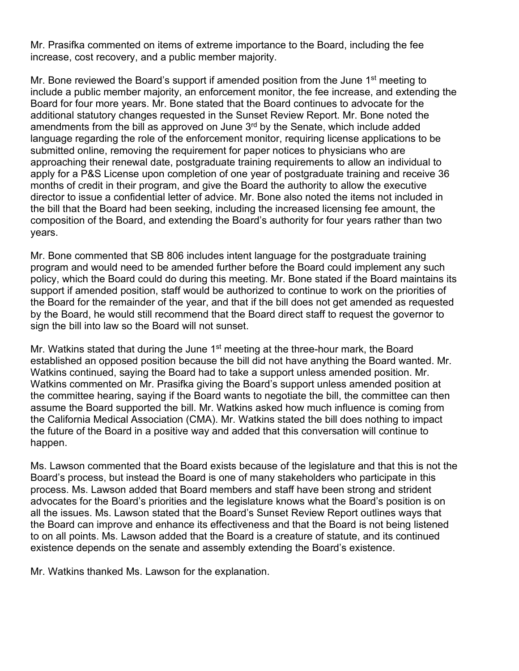Mr. Prasifka commented on items of extreme importance to the Board, including the fee increase, cost recovery, and a public member majority.

Mr. Bone reviewed the Board's support if amended position from the June  $1<sup>st</sup>$  meeting to include a public member majority, an enforcement monitor, the fee increase, and extending the Board for four more years. Mr. Bone stated that the Board continues to advocate for the additional statutory changes requested in the Sunset Review Report. Mr. Bone noted the amendments from the bill as approved on June  $3<sup>rd</sup>$  by the Senate, which include added language regarding the role of the enforcement monitor, requiring license applications to be submitted online, removing the requirement for paper notices to physicians who are approaching their renewal date, postgraduate training requirements to allow an individual to apply for a P&S License upon completion of one year of postgraduate training and receive 36 months of credit in their program, and give the Board the authority to allow the executive director to issue a confidential letter of advice. Mr. Bone also noted the items not included in the bill that the Board had been seeking, including the increased licensing fee amount, the composition of the Board, and extending the Board's authority for four years rather than two years.

Mr. Bone commented that SB 806 includes intent language for the postgraduate training program and would need to be amended further before the Board could implement any such policy, which the Board could do during this meeting. Mr. Bone stated if the Board maintains its support if amended position, staff would be authorized to continue to work on the priorities of the Board for the remainder of the year, and that if the bill does not get amended as requested by the Board, he would still recommend that the Board direct staff to request the governor to sign the bill into law so the Board will not sunset.

Mr. Watkins stated that during the June 1<sup>st</sup> meeting at the three-hour mark, the Board established an opposed position because the bill did not have anything the Board wanted. Mr. Watkins continued, saying the Board had to take a support unless amended position. Mr. Watkins commented on Mr. Prasifka giving the Board's support unless amended position at the committee hearing, saying if the Board wants to negotiate the bill, the committee can then assume the Board supported the bill. Mr. Watkins asked how much influence is coming from the California Medical Association (CMA). Mr. Watkins stated the bill does nothing to impact the future of the Board in a positive way and added that this conversation will continue to happen.

Ms. Lawson commented that the Board exists because of the legislature and that this is not the Board's process, but instead the Board is one of many stakeholders who participate in this process. Ms. Lawson added that Board members and staff have been strong and strident advocates for the Board's priorities and the legislature knows what the Board's position is on all the issues. Ms. Lawson stated that the Board's Sunset Review Report outlines ways that the Board can improve and enhance its effectiveness and that the Board is not being listened to on all points. Ms. Lawson added that the Board is a creature of statute, and its continued existence depends on the senate and assembly extending the Board's existence.

Mr. Watkins thanked Ms. Lawson for the explanation.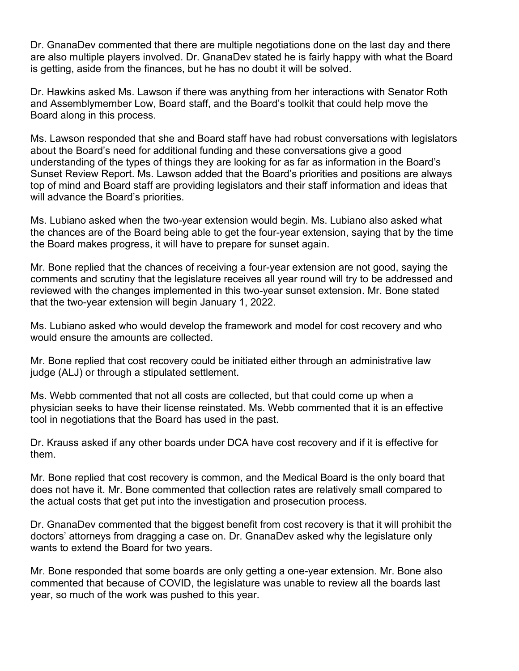Dr. GnanaDev commented that there are multiple negotiations done on the last day and there are also multiple players involved. Dr. GnanaDev stated he is fairly happy with what the Board is getting, aside from the finances, but he has no doubt it will be solved.

Dr. Hawkins asked Ms. Lawson if there was anything from her interactions with Senator Roth and Assemblymember Low, Board staff, and the Board's toolkit that could help move the Board along in this process.

Ms. Lawson responded that she and Board staff have had robust conversations with legislators about the Board's need for additional funding and these conversations give a good understanding of the types of things they are looking for as far as information in the Board's Sunset Review Report. Ms. Lawson added that the Board's priorities and positions are always top of mind and Board staff are providing legislators and their staff information and ideas that will advance the Board's priorities.

Ms. Lubiano asked when the two-year extension would begin. Ms. Lubiano also asked what the chances are of the Board being able to get the four-year extension, saying that by the time the Board makes progress, it will have to prepare for sunset again.

Mr. Bone replied that the chances of receiving a four-year extension are not good, saying the comments and scrutiny that the legislature receives all year round will try to be addressed and reviewed with the changes implemented in this two-year sunset extension. Mr. Bone stated that the two-year extension will begin January 1, 2022.

Ms. Lubiano asked who would develop the framework and model for cost recovery and who would ensure the amounts are collected.

Mr. Bone replied that cost recovery could be initiated either through an administrative law judge (ALJ) or through a stipulated settlement.

Ms. Webb commented that not all costs are collected, but that could come up when a physician seeks to have their license reinstated. Ms. Webb commented that it is an effective tool in negotiations that the Board has used in the past.

Dr. Krauss asked if any other boards under DCA have cost recovery and if it is effective for them.

Mr. Bone replied that cost recovery is common, and the Medical Board is the only board that does not have it. Mr. Bone commented that collection rates are relatively small compared to the actual costs that get put into the investigation and prosecution process.

Dr. GnanaDev commented that the biggest benefit from cost recovery is that it will prohibit the doctors' attorneys from dragging a case on. Dr. GnanaDev asked why the legislature only wants to extend the Board for two years.

Mr. Bone responded that some boards are only getting a one-year extension. Mr. Bone also commented that because of COVID, the legislature was unable to review all the boards last year, so much of the work was pushed to this year.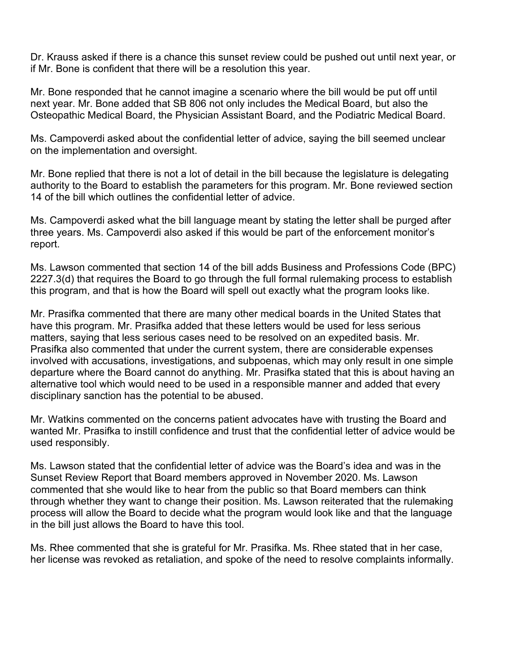Dr. Krauss asked if there is a chance this sunset review could be pushed out until next year, or if Mr. Bone is confident that there will be a resolution this year.

Mr. Bone responded that he cannot imagine a scenario where the bill would be put off until next year. Mr. Bone added that SB 806 not only includes the Medical Board, but also the Osteopathic Medical Board, the Physician Assistant Board, and the Podiatric Medical Board.

Ms. Campoverdi asked about the confidential letter of advice, saying the bill seemed unclear on the implementation and oversight.

Mr. Bone replied that there is not a lot of detail in the bill because the legislature is delegating authority to the Board to establish the parameters for this program. Mr. Bone reviewed section 14 of the bill which outlines the confidential letter of advice.

Ms. Campoverdi asked what the bill language meant by stating the letter shall be purged after three years. Ms. Campoverdi also asked if this would be part of the enforcement monitor's report.

Ms. Lawson commented that section 14 of the bill adds Business and Professions Code (BPC) 2227.3(d) that requires the Board to go through the full formal rulemaking process to establish this program, and that is how the Board will spell out exactly what the program looks like.

Mr. Prasifka commented that there are many other medical boards in the United States that have this program. Mr. Prasifka added that these letters would be used for less serious matters, saying that less serious cases need to be resolved on an expedited basis. Mr. Prasifka also commented that under the current system, there are considerable expenses involved with accusations, investigations, and subpoenas, which may only result in one simple departure where the Board cannot do anything. Mr. Prasifka stated that this is about having an alternative tool which would need to be used in a responsible manner and added that every disciplinary sanction has the potential to be abused.

Mr. Watkins commented on the concerns patient advocates have with trusting the Board and wanted Mr. Prasifka to instill confidence and trust that the confidential letter of advice would be used responsibly.

Ms. Lawson stated that the confidential letter of advice was the Board's idea and was in the Sunset Review Report that Board members approved in November 2020. Ms. Lawson commented that she would like to hear from the public so that Board members can think through whether they want to change their position. Ms. Lawson reiterated that the rulemaking process will allow the Board to decide what the program would look like and that the language in the bill just allows the Board to have this tool.

Ms. Rhee commented that she is grateful for Mr. Prasifka. Ms. Rhee stated that in her case, her license was revoked as retaliation, and spoke of the need to resolve complaints informally.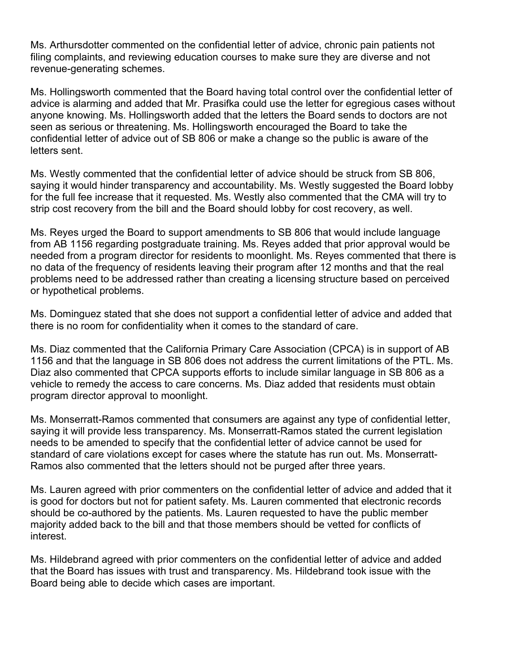Ms. Arthursdotter commented on the confidential letter of advice, chronic pain patients not filing complaints, and reviewing education courses to make sure they are diverse and not revenue-generating schemes.

Ms. Hollingsworth commented that the Board having total control over the confidential letter of advice is alarming and added that Mr. Prasifka could use the letter for egregious cases without anyone knowing. Ms. Hollingsworth added that the letters the Board sends to doctors are not seen as serious or threatening. Ms. Hollingsworth encouraged the Board to take the confidential letter of advice out of SB 806 or make a change so the public is aware of the letters sent.

Ms. Westly commented that the confidential letter of advice should be struck from SB 806, saying it would hinder transparency and accountability. Ms. Westly suggested the Board lobby for the full fee increase that it requested. Ms. Westly also commented that the CMA will try to strip cost recovery from the bill and the Board should lobby for cost recovery, as well.

Ms. Reyes urged the Board to support amendments to SB 806 that would include language from AB 1156 regarding postgraduate training. Ms. Reyes added that prior approval would be needed from a program director for residents to moonlight. Ms. Reyes commented that there is no data of the frequency of residents leaving their program after 12 months and that the real problems need to be addressed rather than creating a licensing structure based on perceived or hypothetical problems.

Ms. Dominguez stated that she does not support a confidential letter of advice and added that there is no room for confidentiality when it comes to the standard of care.

Ms. Diaz commented that the California Primary Care Association (CPCA) is in support of AB 1156 and that the language in SB 806 does not address the current limitations of the PTL. Ms. Diaz also commented that CPCA supports efforts to include similar language in SB 806 as a vehicle to remedy the access to care concerns. Ms. Diaz added that residents must obtain program director approval to moonlight.

Ms. Monserratt-Ramos commented that consumers are against any type of confidential letter, saying it will provide less transparency. Ms. Monserratt-Ramos stated the current legislation needs to be amended to specify that the confidential letter of advice cannot be used for standard of care violations except for cases where the statute has run out. Ms. Monserratt-Ramos also commented that the letters should not be purged after three years.

Ms. Lauren agreed with prior commenters on the confidential letter of advice and added that it is good for doctors but not for patient safety. Ms. Lauren commented that electronic records should be co-authored by the patients. Ms. Lauren requested to have the public member majority added back to the bill and that those members should be vetted for conflicts of interest.

Ms. Hildebrand agreed with prior commenters on the confidential letter of advice and added that the Board has issues with trust and transparency. Ms. Hildebrand took issue with the Board being able to decide which cases are important.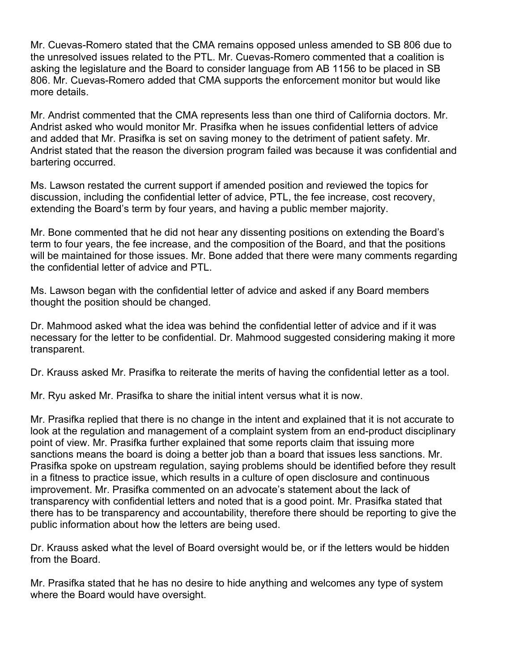Mr. Cuevas-Romero stated that the CMA remains opposed unless amended to SB 806 due to the unresolved issues related to the PTL. Mr. Cuevas-Romero commented that a coalition is asking the legislature and the Board to consider language from AB 1156 to be placed in SB 806. Mr. Cuevas-Romero added that CMA supports the enforcement monitor but would like more details.

Mr. Andrist commented that the CMA represents less than one third of California doctors. Mr. Andrist asked who would monitor Mr. Prasifka when he issues confidential letters of advice and added that Mr. Prasifka is set on saving money to the detriment of patient safety. Mr. Andrist stated that the reason the diversion program failed was because it was confidential and bartering occurred.

Ms. Lawson restated the current support if amended position and reviewed the topics for discussion, including the confidential letter of advice, PTL, the fee increase, cost recovery, extending the Board's term by four years, and having a public member majority.

Mr. Bone commented that he did not hear any dissenting positions on extending the Board's term to four years, the fee increase, and the composition of the Board, and that the positions will be maintained for those issues. Mr. Bone added that there were many comments regarding the confidential letter of advice and PTL.

Ms. Lawson began with the confidential letter of advice and asked if any Board members thought the position should be changed.

Dr. Mahmood asked what the idea was behind the confidential letter of advice and if it was necessary for the letter to be confidential. Dr. Mahmood suggested considering making it more transparent.

Dr. Krauss asked Mr. Prasifka to reiterate the merits of having the confidential letter as a tool.

Mr. Ryu asked Mr. Prasifka to share the initial intent versus what it is now.

Mr. Prasifka replied that there is no change in the intent and explained that it is not accurate to look at the regulation and management of a complaint system from an end-product disciplinary point of view. Mr. Prasifka further explained that some reports claim that issuing more sanctions means the board is doing a better job than a board that issues less sanctions. Mr. Prasifka spoke on upstream regulation, saying problems should be identified before they result in a fitness to practice issue, which results in a culture of open disclosure and continuous improvement. Mr. Prasifka commented on an advocate's statement about the lack of transparency with confidential letters and noted that is a good point. Mr. Prasifka stated that there has to be transparency and accountability, therefore there should be reporting to give the public information about how the letters are being used.

Dr. Krauss asked what the level of Board oversight would be, or if the letters would be hidden from the Board.

Mr. Prasifka stated that he has no desire to hide anything and welcomes any type of system where the Board would have oversight.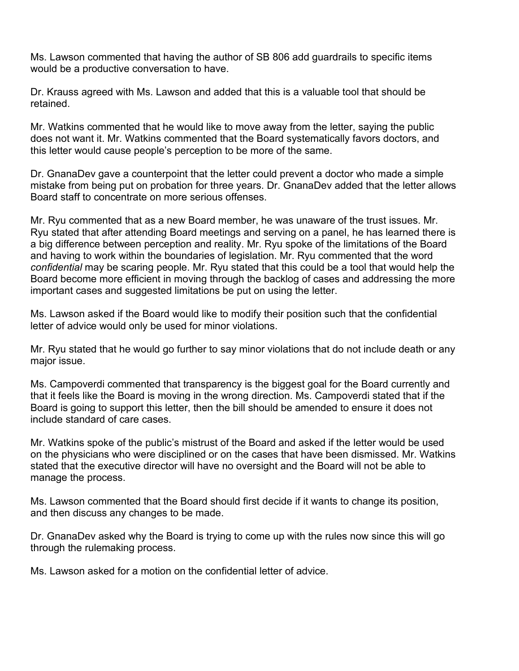Ms. Lawson commented that having the author of SB 806 add guardrails to specific items would be a productive conversation to have.

Dr. Krauss agreed with Ms. Lawson and added that this is a valuable tool that should be retained.

Mr. Watkins commented that he would like to move away from the letter, saying the public does not want it. Mr. Watkins commented that the Board systematically favors doctors, and this letter would cause people's perception to be more of the same.

Dr. GnanaDev gave a counterpoint that the letter could prevent a doctor who made a simple mistake from being put on probation for three years. Dr. GnanaDev added that the letter allows Board staff to concentrate on more serious offenses.

Mr. Ryu commented that as a new Board member, he was unaware of the trust issues. Mr. Ryu stated that after attending Board meetings and serving on a panel, he has learned there is a big difference between perception and reality. Mr. Ryu spoke of the limitations of the Board and having to work within the boundaries of legislation. Mr. Ryu commented that the word *confidential* may be scaring people. Mr. Ryu stated that this could be a tool that would help the Board become more efficient in moving through the backlog of cases and addressing the more important cases and suggested limitations be put on using the letter.

Ms. Lawson asked if the Board would like to modify their position such that the confidential letter of advice would only be used for minor violations.

Mr. Ryu stated that he would go further to say minor violations that do not include death or any major issue.

Ms. Campoverdi commented that transparency is the biggest goal for the Board currently and that it feels like the Board is moving in the wrong direction. Ms. Campoverdi stated that if the Board is going to support this letter, then the bill should be amended to ensure it does not include standard of care cases.

Mr. Watkins spoke of the public's mistrust of the Board and asked if the letter would be used on the physicians who were disciplined or on the cases that have been dismissed. Mr. Watkins stated that the executive director will have no oversight and the Board will not be able to manage the process.

Ms. Lawson commented that the Board should first decide if it wants to change its position, and then discuss any changes to be made.

Dr. GnanaDev asked why the Board is trying to come up with the rules now since this will go through the rulemaking process.

Ms. Lawson asked for a motion on the confidential letter of advice.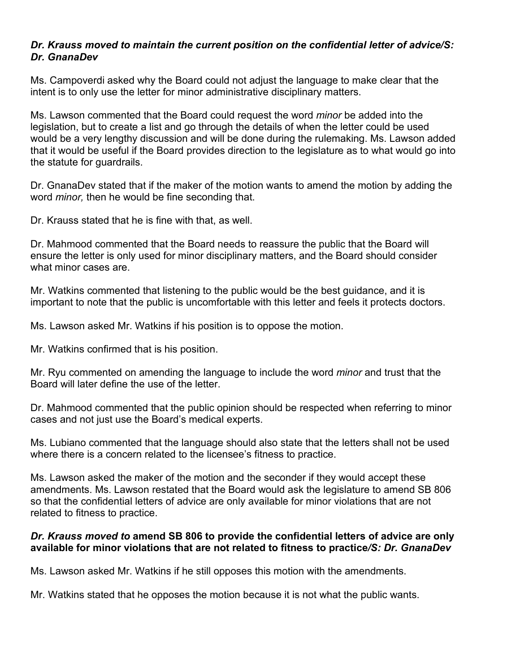#### *Dr. Krauss moved to maintain the current position on the confidential letter of advice/S: Dr. GnanaDev*

Ms. Campoverdi asked why the Board could not adjust the language to make clear that the intent is to only use the letter for minor administrative disciplinary matters.

Ms. Lawson commented that the Board could request the word *minor* be added into the legislation, but to create a list and go through the details of when the letter could be used would be a very lengthy discussion and will be done during the rulemaking. Ms. Lawson added that it would be useful if the Board provides direction to the legislature as to what would go into the statute for guardrails.

Dr. GnanaDev stated that if the maker of the motion wants to amend the motion by adding the word *minor,* then he would be fine seconding that.

Dr. Krauss stated that he is fine with that, as well.

Dr. Mahmood commented that the Board needs to reassure the public that the Board will ensure the letter is only used for minor disciplinary matters, and the Board should consider what minor cases are.

Mr. Watkins commented that listening to the public would be the best guidance, and it is important to note that the public is uncomfortable with this letter and feels it protects doctors.

Ms. Lawson asked Mr. Watkins if his position is to oppose the motion.

Mr. Watkins confirmed that is his position.

Mr. Ryu commented on amending the language to include the word *minor* and trust that the Board will later define the use of the letter.

Dr. Mahmood commented that the public opinion should be respected when referring to minor cases and not just use the Board's medical experts.

Ms. Lubiano commented that the language should also state that the letters shall not be used where there is a concern related to the licensee's fitness to practice.

Ms. Lawson asked the maker of the motion and the seconder if they would accept these amendments. Ms. Lawson restated that the Board would ask the legislature to amend SB 806 so that the confidential letters of advice are only available for minor violations that are not related to fitness to practice.

#### *Dr. Krauss moved to* **amend SB 806 to provide the confidential letters of advice are only available for minor violations that are not related to fitness to practice***/S: Dr. GnanaDev*

Ms. Lawson asked Mr. Watkins if he still opposes this motion with the amendments.

Mr. Watkins stated that he opposes the motion because it is not what the public wants.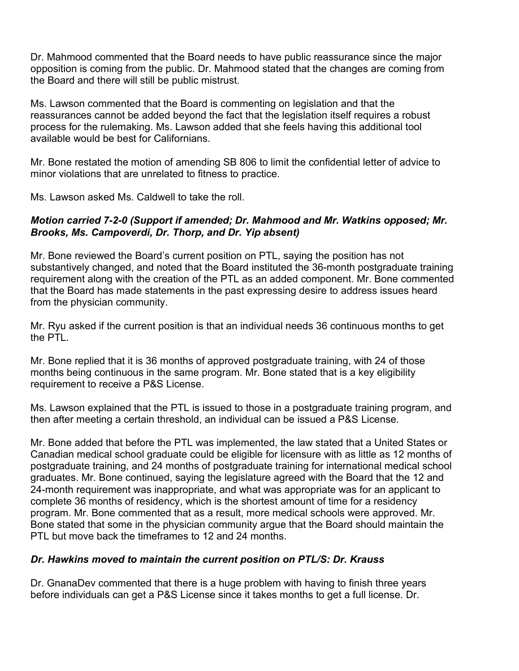Dr. Mahmood commented that the Board needs to have public reassurance since the major opposition is coming from the public. Dr. Mahmood stated that the changes are coming from the Board and there will still be public mistrust.

Ms. Lawson commented that the Board is commenting on legislation and that the reassurances cannot be added beyond the fact that the legislation itself requires a robust process for the rulemaking. Ms. Lawson added that she feels having this additional tool available would be best for Californians.

Mr. Bone restated the motion of amending SB 806 to limit the confidential letter of advice to minor violations that are unrelated to fitness to practice.

Ms. Lawson asked Ms. Caldwell to take the roll.

#### *Motion carried 7-2-0 (Support if amended; Dr. Mahmood and Mr. Watkins opposed; Mr. Brooks, Ms. Campoverdi, Dr. Thorp, and Dr. Yip absent)*

Mr. Bone reviewed the Board's current position on PTL, saying the position has not substantively changed, and noted that the Board instituted the 36-month postgraduate training requirement along with the creation of the PTL as an added component. Mr. Bone commented that the Board has made statements in the past expressing desire to address issues heard from the physician community.

Mr. Ryu asked if the current position is that an individual needs 36 continuous months to get the PTI

Mr. Bone replied that it is 36 months of approved postgraduate training, with 24 of those months being continuous in the same program. Mr. Bone stated that is a key eligibility requirement to receive a P&S License.

Ms. Lawson explained that the PTL is issued to those in a postgraduate training program, and then after meeting a certain threshold, an individual can be issued a P&S License.

Mr. Bone added that before the PTL was implemented, the law stated that a United States or Canadian medical school graduate could be eligible for licensure with as little as 12 months of postgraduate training, and 24 months of postgraduate training for international medical school graduates. Mr. Bone continued, saying the legislature agreed with the Board that the 12 and 24-month requirement was inappropriate, and what was appropriate was for an applicant to complete 36 months of residency, which is the shortest amount of time for a residency program. Mr. Bone commented that as a result, more medical schools were approved. Mr. Bone stated that some in the physician community argue that the Board should maintain the PTL but move back the timeframes to 12 and 24 months.

# *Dr. Hawkins moved to maintain the current position on PTL/S: Dr. Krauss*

Dr. GnanaDev commented that there is a huge problem with having to finish three years before individuals can get a P&S License since it takes months to get a full license. Dr.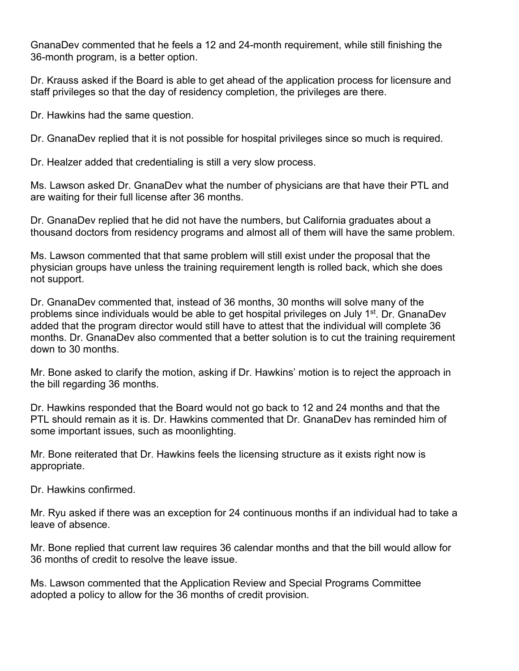GnanaDev commented that he feels a 12 and 24-month requirement, while still finishing the 36-month program, is a better option.

Dr. Krauss asked if the Board is able to get ahead of the application process for licensure and staff privileges so that the day of residency completion, the privileges are there.

Dr. Hawkins had the same question.

Dr. GnanaDev replied that it is not possible for hospital privileges since so much is required.

Dr. Healzer added that credentialing is still a very slow process.

Ms. Lawson asked Dr. GnanaDev what the number of physicians are that have their PTL and are waiting for their full license after 36 months.

Dr. GnanaDev replied that he did not have the numbers, but California graduates about a thousand doctors from residency programs and almost all of them will have the same problem.

Ms. Lawson commented that that same problem will still exist under the proposal that the physician groups have unless the training requirement length is rolled back, which she does not support.

Dr. GnanaDev commented that, instead of 36 months, 30 months will solve many of the problems since individuals would be able to get hospital privileges on July 1<sup>st</sup>. Dr. GnanaDev added that the program director would still have to attest that the individual will complete 36 months. Dr. GnanaDev also commented that a better solution is to cut the training requirement down to 30 months.

Mr. Bone asked to clarify the motion, asking if Dr. Hawkins' motion is to reject the approach in the bill regarding 36 months.

Dr. Hawkins responded that the Board would not go back to 12 and 24 months and that the PTL should remain as it is. Dr. Hawkins commented that Dr. GnanaDev has reminded him of some important issues, such as moonlighting.

Mr. Bone reiterated that Dr. Hawkins feels the licensing structure as it exists right now is appropriate.

Dr. Hawkins confirmed.

Mr. Ryu asked if there was an exception for 24 continuous months if an individual had to take a leave of absence.

Mr. Bone replied that current law requires 36 calendar months and that the bill would allow for 36 months of credit to resolve the leave issue.

Ms. Lawson commented that the Application Review and Special Programs Committee adopted a policy to allow for the 36 months of credit provision.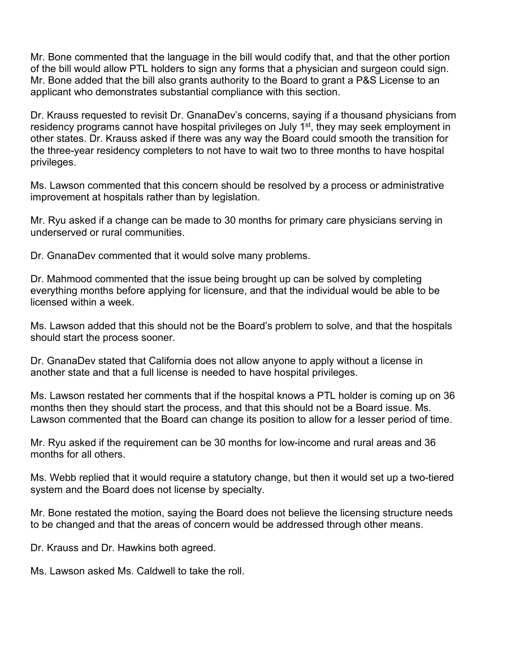Mr. Bone commented that the language in the bill would codify that, and that the other portion of the bill would allow PTL holders to sign any forms that a physician and surgeon could sign. Mr. Bone added that the bill also grants authority to the Board to grant a P&S License to an applicant who demonstrates substantial compliance with this section.

Dr. Krauss requested to revisit Dr. GnanaDev's concerns, saying if a thousand physicians from residency programs cannot have hospital privileges on July 1<sup>st</sup>, they may seek employment in other states. Dr. Krauss asked if there was any way the Board could smooth the transition for the three-year residency completers to not have to wait two to three months to have hospital privileges.

Ms. Lawson commented that this concern should be resolved by a process or administrative improvement at hospitals rather than by legislation.

Mr. Ryu asked if a change can be made to 30 months for primary care physicians serving in underserved or rural communities.

Dr. GnanaDev commented that it would solve many problems.

Dr. Mahmood commented that the issue being brought up can be solved by completing everything months before applying for licensure, and that the individual would be able to be licensed within a week.

Ms. Lawson added that this should not be the Board's problem to solve, and that the hospitals should start the process sooner.

Dr. GnanaDev stated that California does not allow anyone to apply without a license in another state and that a full license is needed to have hospital privileges.

Ms. Lawson restated her comments that if the hospital knows a PTL holder is coming up on 36 months then they should start the process, and that this should not be a Board issue. Ms. Lawson commented that the Board can change its position to allow for a lesser period of time.

Mr. Ryu asked if the requirement can be 30 months for low-income and rural areas and 36 months for all others.

Ms. Webb replied that it would require a statutory change, but then it would set up a two-tiered system and the Board does not license by specialty.

Mr. Bone restated the motion, saying the Board does not believe the licensing structure needs to be changed and that the areas of concern would be addressed through other means.

Dr. Krauss and Dr. Hawkins both agreed.

Ms. Lawson asked Ms. Caldwell to take the roll.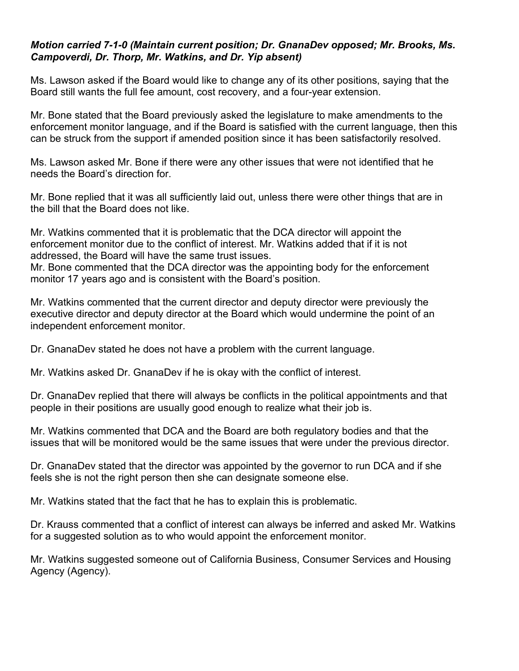#### *Motion carried 7-1-0 (Maintain current position; Dr. GnanaDev opposed; Mr. Brooks, Ms. Campoverdi, Dr. Thorp, Mr. Watkins, and Dr. Yip absent)*

Ms. Lawson asked if the Board would like to change any of its other positions, saying that the Board still wants the full fee amount, cost recovery, and a four-year extension.

Mr. Bone stated that the Board previously asked the legislature to make amendments to the enforcement monitor language, and if the Board is satisfied with the current language, then this can be struck from the support if amended position since it has been satisfactorily resolved.

Ms. Lawson asked Mr. Bone if there were any other issues that were not identified that he needs the Board's direction for.

Mr. Bone replied that it was all sufficiently laid out, unless there were other things that are in the bill that the Board does not like.

Mr. Watkins commented that it is problematic that the DCA director will appoint the enforcement monitor due to the conflict of interest. Mr. Watkins added that if it is not addressed, the Board will have the same trust issues.

Mr. Bone commented that the DCA director was the appointing body for the enforcement monitor 17 years ago and is consistent with the Board's position.

Mr. Watkins commented that the current director and deputy director were previously the executive director and deputy director at the Board which would undermine the point of an independent enforcement monitor.

Dr. GnanaDev stated he does not have a problem with the current language.

Mr. Watkins asked Dr. GnanaDev if he is okay with the conflict of interest.

Dr. GnanaDev replied that there will always be conflicts in the political appointments and that people in their positions are usually good enough to realize what their job is.

Mr. Watkins commented that DCA and the Board are both regulatory bodies and that the issues that will be monitored would be the same issues that were under the previous director.

Dr. GnanaDev stated that the director was appointed by the governor to run DCA and if she feels she is not the right person then she can designate someone else.

Mr. Watkins stated that the fact that he has to explain this is problematic.

Dr. Krauss commented that a conflict of interest can always be inferred and asked Mr. Watkins for a suggested solution as to who would appoint the enforcement monitor.

Mr. Watkins suggested someone out of California Business, Consumer Services and Housing Agency (Agency).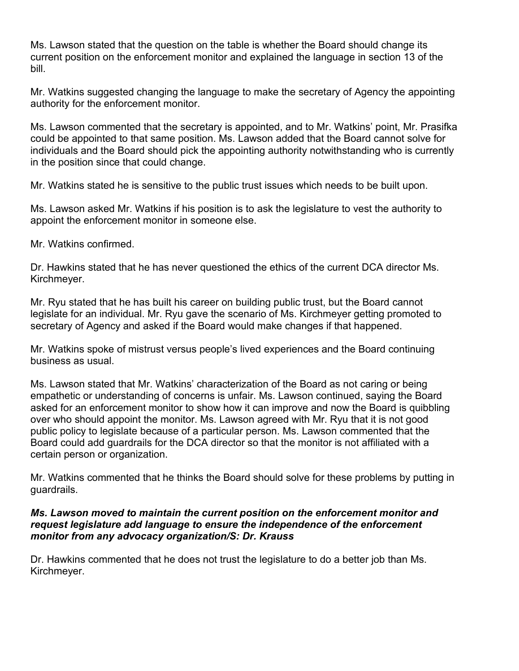Ms. Lawson stated that the question on the table is whether the Board should change its current position on the enforcement monitor and explained the language in section 13 of the bill.

Mr. Watkins suggested changing the language to make the secretary of Agency the appointing authority for the enforcement monitor.

Ms. Lawson commented that the secretary is appointed, and to Mr. Watkins' point, Mr. Prasifka could be appointed to that same position. Ms. Lawson added that the Board cannot solve for individuals and the Board should pick the appointing authority notwithstanding who is currently in the position since that could change.

Mr. Watkins stated he is sensitive to the public trust issues which needs to be built upon.

Ms. Lawson asked Mr. Watkins if his position is to ask the legislature to vest the authority to appoint the enforcement monitor in someone else.

Mr. Watkins confirmed.

Dr. Hawkins stated that he has never questioned the ethics of the current DCA director Ms. Kirchmeyer.

Mr. Ryu stated that he has built his career on building public trust, but the Board cannot legislate for an individual. Mr. Ryu gave the scenario of Ms. Kirchmeyer getting promoted to secretary of Agency and asked if the Board would make changes if that happened.

Mr. Watkins spoke of mistrust versus people's lived experiences and the Board continuing business as usual.

Ms. Lawson stated that Mr. Watkins' characterization of the Board as not caring or being empathetic or understanding of concerns is unfair. Ms. Lawson continued, saying the Board asked for an enforcement monitor to show how it can improve and now the Board is quibbling over who should appoint the monitor. Ms. Lawson agreed with Mr. Ryu that it is not good public policy to legislate because of a particular person. Ms. Lawson commented that the Board could add guardrails for the DCA director so that the monitor is not affiliated with a certain person or organization.

Mr. Watkins commented that he thinks the Board should solve for these problems by putting in guardrails.

#### *Ms. Lawson moved to maintain the current position on the enforcement monitor and request legislature add language to ensure the independence of the enforcement monitor from any advocacy organization/S: Dr. Krauss*

Dr. Hawkins commented that he does not trust the legislature to do a better job than Ms. Kirchmeyer.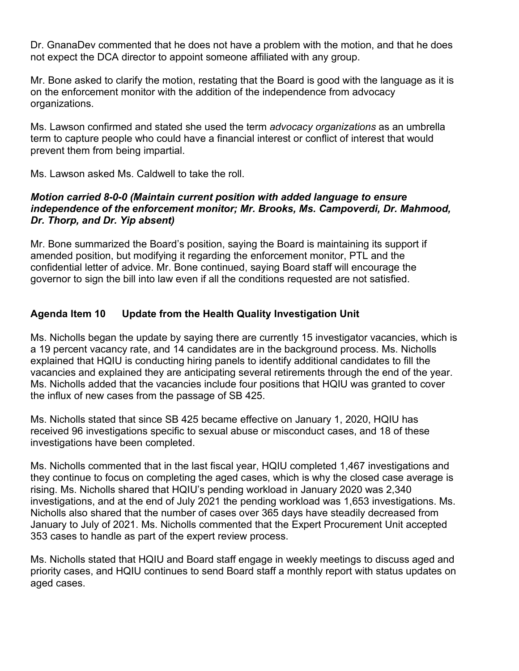Dr. GnanaDev commented that he does not have a problem with the motion, and that he does not expect the DCA director to appoint someone affiliated with any group.

Mr. Bone asked to clarify the motion, restating that the Board is good with the language as it is on the enforcement monitor with the addition of the independence from advocacy organizations.

Ms. Lawson confirmed and stated she used the term *advocacy organizations* as an umbrella term to capture people who could have a financial interest or conflict of interest that would prevent them from being impartial.

Ms. Lawson asked Ms. Caldwell to take the roll.

#### *Motion carried 8-0-0 (Maintain current position with added language to ensure independence of the enforcement monitor; Mr. Brooks, Ms. Campoverdi, Dr. Mahmood, Dr. Thorp, and Dr. Yip absent)*

Mr. Bone summarized the Board's position, saying the Board is maintaining its support if amended position, but modifying it regarding the enforcement monitor, PTL and the confidential letter of advice. Mr. Bone continued, saying Board staff will encourage the governor to sign the bill into law even if all the conditions requested are not satisfied.

# **Agenda Item 10 Update from the Health Quality Investigation Unit**

Ms. Nicholls began the update by saying there are currently 15 investigator vacancies, which is a 19 percent vacancy rate, and 14 candidates are in the background process. Ms. Nicholls explained that HQIU is conducting hiring panels to identify additional candidates to fill the vacancies and explained they are anticipating several retirements through the end of the year. Ms. Nicholls added that the vacancies include four positions that HQIU was granted to cover the influx of new cases from the passage of SB 425.

Ms. Nicholls stated that since SB 425 became effective on January 1, 2020, HQIU has received 96 investigations specific to sexual abuse or misconduct cases, and 18 of these investigations have been completed.

Ms. Nicholls commented that in the last fiscal year, HQIU completed 1,467 investigations and they continue to focus on completing the aged cases, which is why the closed case average is rising. Ms. Nicholls shared that HQIU's pending workload in January 2020 was 2,340 investigations, and at the end of July 2021 the pending workload was 1,653 investigations. Ms. Nicholls also shared that the number of cases over 365 days have steadily decreased from January to July of 2021. Ms. Nicholls commented that the Expert Procurement Unit accepted 353 cases to handle as part of the expert review process.

Ms. Nicholls stated that HQIU and Board staff engage in weekly meetings to discuss aged and priority cases, and HQIU continues to send Board staff a monthly report with status updates on aged cases.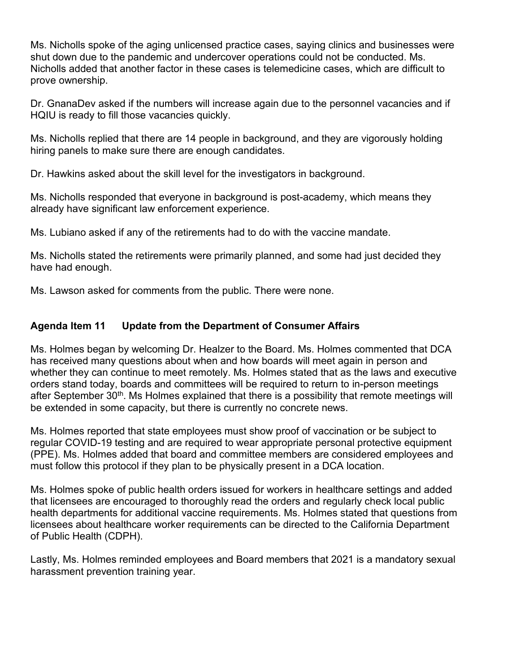Ms. Nicholls spoke of the aging unlicensed practice cases, saying clinics and businesses were shut down due to the pandemic and undercover operations could not be conducted. Ms. Nicholls added that another factor in these cases is telemedicine cases, which are difficult to prove ownership.

Dr. GnanaDev asked if the numbers will increase again due to the personnel vacancies and if HQIU is ready to fill those vacancies quickly.

Ms. Nicholls replied that there are 14 people in background, and they are vigorously holding hiring panels to make sure there are enough candidates.

Dr. Hawkins asked about the skill level for the investigators in background.

Ms. Nicholls responded that everyone in background is post-academy, which means they already have significant law enforcement experience.

Ms. Lubiano asked if any of the retirements had to do with the vaccine mandate.

Ms. Nicholls stated the retirements were primarily planned, and some had just decided they have had enough.

Ms. Lawson asked for comments from the public. There were none.

# **Agenda Item 11 Update from the Department of Consumer Affairs**

Ms. Holmes began by welcoming Dr. Healzer to the Board. Ms. Holmes commented that DCA has received many questions about when and how boards will meet again in person and whether they can continue to meet remotely. Ms. Holmes stated that as the laws and executive orders stand today, boards and committees will be required to return to in-person meetings after September 30<sup>th</sup>. Ms Holmes explained that there is a possibility that remote meetings will be extended in some capacity, but there is currently no concrete news.

Ms. Holmes reported that state employees must show proof of vaccination or be subject to regular COVID-19 testing and are required to wear appropriate personal protective equipment (PPE). Ms. Holmes added that board and committee members are considered employees and must follow this protocol if they plan to be physically present in a DCA location.

Ms. Holmes spoke of public health orders issued for workers in healthcare settings and added that licensees are encouraged to thoroughly read the orders and regularly check local public health departments for additional vaccine requirements. Ms. Holmes stated that questions from licensees about healthcare worker requirements can be directed to the California Department of Public Health (CDPH).

Lastly, Ms. Holmes reminded employees and Board members that 2021 is a mandatory sexual harassment prevention training year.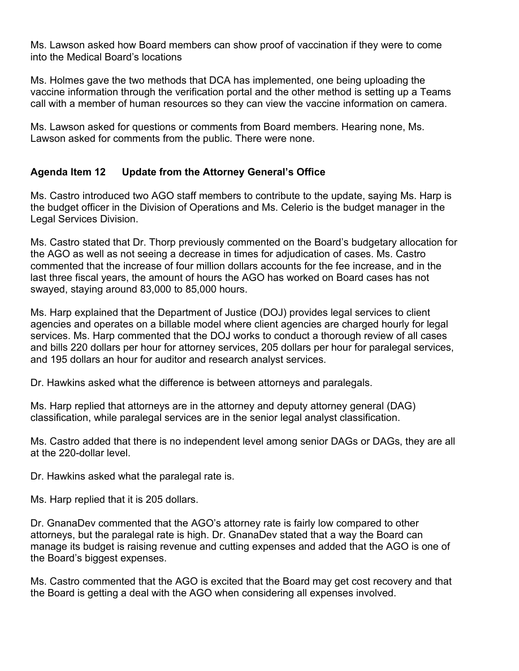Ms. Lawson asked how Board members can show proof of vaccination if they were to come into the Medical Board's locations

Ms. Holmes gave the two methods that DCA has implemented, one being uploading the vaccine information through the verification portal and the other method is setting up a Teams call with a member of human resources so they can view the vaccine information on camera.

Ms. Lawson asked for questions or comments from Board members. Hearing none, Ms. Lawson asked for comments from the public. There were none.

# **Agenda Item 12 Update from the Attorney General's Office**

Ms. Castro introduced two AGO staff members to contribute to the update, saying Ms. Harp is the budget officer in the Division of Operations and Ms. Celerio is the budget manager in the Legal Services Division.

Ms. Castro stated that Dr. Thorp previously commented on the Board's budgetary allocation for the AGO as well as not seeing a decrease in times for adjudication of cases. Ms. Castro commented that the increase of four million dollars accounts for the fee increase, and in the last three fiscal years, the amount of hours the AGO has worked on Board cases has not swayed, staying around 83,000 to 85,000 hours.

Ms. Harp explained that the Department of Justice (DOJ) provides legal services to client agencies and operates on a billable model where client agencies are charged hourly for legal services. Ms. Harp commented that the DOJ works to conduct a thorough review of all cases and bills 220 dollars per hour for attorney services, 205 dollars per hour for paralegal services, and 195 dollars an hour for auditor and research analyst services.

Dr. Hawkins asked what the difference is between attorneys and paralegals.

Ms. Harp replied that attorneys are in the attorney and deputy attorney general (DAG) classification, while paralegal services are in the senior legal analyst classification.

Ms. Castro added that there is no independent level among senior DAGs or DAGs, they are all at the 220-dollar level.

Dr. Hawkins asked what the paralegal rate is.

Ms. Harp replied that it is 205 dollars.

Dr. GnanaDev commented that the AGO's attorney rate is fairly low compared to other attorneys, but the paralegal rate is high. Dr. GnanaDev stated that a way the Board can manage its budget is raising revenue and cutting expenses and added that the AGO is one of the Board's biggest expenses.

Ms. Castro commented that the AGO is excited that the Board may get cost recovery and that the Board is getting a deal with the AGO when considering all expenses involved.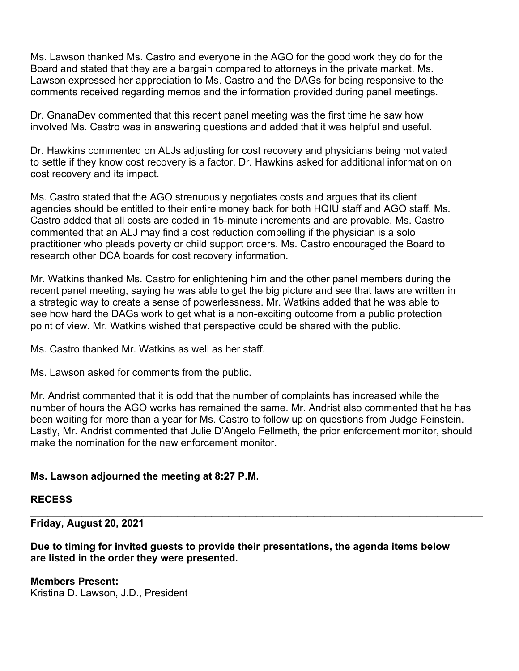Ms. Lawson thanked Ms. Castro and everyone in the AGO for the good work they do for the Board and stated that they are a bargain compared to attorneys in the private market. Ms. Lawson expressed her appreciation to Ms. Castro and the DAGs for being responsive to the comments received regarding memos and the information provided during panel meetings.

Dr. GnanaDev commented that this recent panel meeting was the first time he saw how involved Ms. Castro was in answering questions and added that it was helpful and useful.

Dr. Hawkins commented on ALJs adjusting for cost recovery and physicians being motivated to settle if they know cost recovery is a factor. Dr. Hawkins asked for additional information on cost recovery and its impact.

Ms. Castro stated that the AGO strenuously negotiates costs and argues that its client agencies should be entitled to their entire money back for both HQIU staff and AGO staff. Ms. Castro added that all costs are coded in 15-minute increments and are provable. Ms. Castro commented that an ALJ may find a cost reduction compelling if the physician is a solo practitioner who pleads poverty or child support orders. Ms. Castro encouraged the Board to research other DCA boards for cost recovery information.

Mr. Watkins thanked Ms. Castro for enlightening him and the other panel members during the recent panel meeting, saying he was able to get the big picture and see that laws are written in a strategic way to create a sense of powerlessness. Mr. Watkins added that he was able to see how hard the DAGs work to get what is a non-exciting outcome from a public protection point of view. Mr. Watkins wished that perspective could be shared with the public.

Ms. Castro thanked Mr. Watkins as well as her staff.

Ms. Lawson asked for comments from the public.

Mr. Andrist commented that it is odd that the number of complaints has increased while the number of hours the AGO works has remained the same. Mr. Andrist also commented that he has been waiting for more than a year for Ms. Castro to follow up on questions from Judge Feinstein. Lastly, Mr. Andrist commented that Julie D'Angelo Fellmeth, the prior enforcement monitor, should make the nomination for the new enforcement monitor.

# **Ms. Lawson adjourned the meeting at 8:27 P.M.**

#### **RECESS**

**Friday, August 20, 2021**

**Due to timing for invited guests to provide their presentations, the agenda items below are listed in the order they were presented.**

\_\_\_\_\_\_\_\_\_\_\_\_\_\_\_\_\_\_\_\_\_\_\_\_\_\_\_\_\_\_\_\_\_\_\_\_\_\_\_\_\_\_\_\_\_\_\_\_\_\_\_\_\_\_\_\_\_\_\_\_\_\_\_\_\_\_\_\_\_\_\_\_\_\_\_\_\_\_\_\_

**Members Present:** Kristina D. Lawson, J.D., President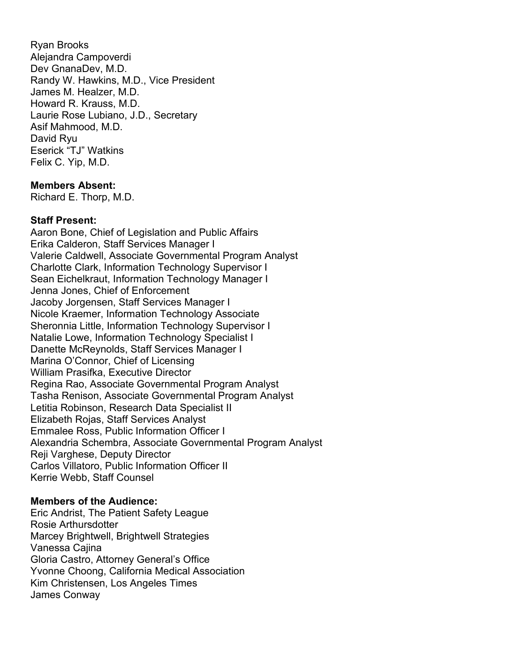Ryan Brooks Alejandra Campoverdi Dev GnanaDev, M.D. Randy W. Hawkins, M.D., Vice President James M. Healzer, M.D. Howard R. Krauss, M.D. Laurie Rose Lubiano, J.D., Secretary Asif Mahmood, M.D. David Ryu Eserick "TJ" Watkins Felix C. Yip, M.D.

#### **Members Absent:**

Richard E. Thorp, M.D.

#### **Staff Present:**

Aaron Bone, Chief of Legislation and Public Affairs Erika Calderon, Staff Services Manager I Valerie Caldwell, Associate Governmental Program Analyst Charlotte Clark, Information Technology Supervisor I Sean Eichelkraut, Information Technology Manager I Jenna Jones, Chief of Enforcement Jacoby Jorgensen, Staff Services Manager I Nicole Kraemer, Information Technology Associate Sheronnia Little, Information Technology Supervisor I Natalie Lowe, Information Technology Specialist I Danette McReynolds, Staff Services Manager I Marina O'Connor, Chief of Licensing William Prasifka, Executive Director Regina Rao, Associate Governmental Program Analyst Tasha Renison, Associate Governmental Program Analyst Letitia Robinson, Research Data Specialist II Elizabeth Rojas, Staff Services Analyst Emmalee Ross, Public Information Officer I Alexandria Schembra, Associate Governmental Program Analyst Reji Varghese, Deputy Director Carlos Villatoro, Public Information Officer II Kerrie Webb, Staff Counsel

#### **Members of the Audience:**

Eric Andrist, The Patient Safety League Rosie Arthursdotter Marcey Brightwell, Brightwell Strategies Vanessa Cajina Gloria Castro, Attorney General's Office Yvonne Choong, California Medical Association Kim Christensen, Los Angeles Times James Conway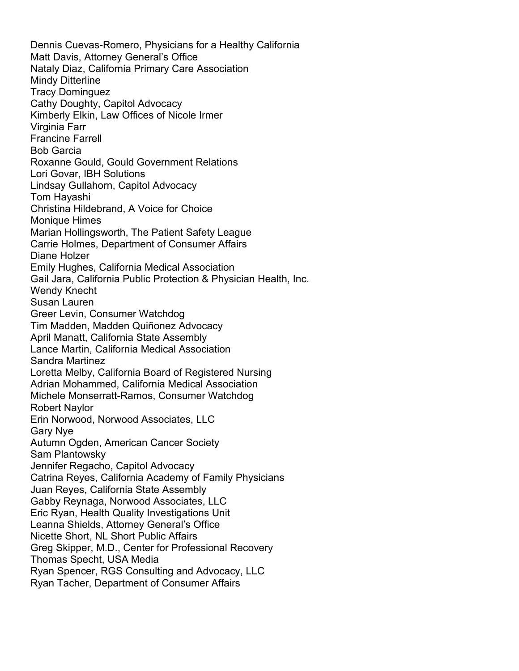Dennis Cuevas-Romero, Physicians for a Healthy California Matt Davis, Attorney General's Office Nataly Diaz, California Primary Care Association Mindy Ditterline Tracy Dominguez Cathy Doughty, Capitol Advocacy Kimberly Elkin, Law Offices of Nicole Irmer Virginia Farr Francine Farrell Bob Garcia Roxanne Gould, Gould Government Relations Lori Govar, IBH Solutions Lindsay Gullahorn, Capitol Advocacy Tom Hayashi Christina Hildebrand, A Voice for Choice Monique Himes Marian Hollingsworth, The Patient Safety League Carrie Holmes, Department of Consumer Affairs Diane Holzer Emily Hughes, California Medical Association Gail Jara, California Public Protection & Physician Health, Inc. Wendy Knecht Susan Lauren Greer Levin, Consumer Watchdog Tim Madden, Madden Quiñonez Advocacy April Manatt, California State Assembly Lance Martin, California Medical Association Sandra Martinez Loretta Melby, California Board of Registered Nursing Adrian Mohammed, California Medical Association Michele Monserratt-Ramos, Consumer Watchdog Robert Naylor Erin Norwood, Norwood Associates, LLC Gary Nye Autumn Ogden, American Cancer Society Sam Plantowsky Jennifer Regacho, Capitol Advocacy Catrina Reyes, California Academy of Family Physicians Juan Reyes, California State Assembly Gabby Reynaga, Norwood Associates, LLC Eric Ryan, Health Quality Investigations Unit Leanna Shields, Attorney General's Office Nicette Short, NL Short Public Affairs Greg Skipper, M.D., Center for Professional Recovery Thomas Specht, USA Media Ryan Spencer, RGS Consulting and Advocacy, LLC Ryan Tacher, Department of Consumer Affairs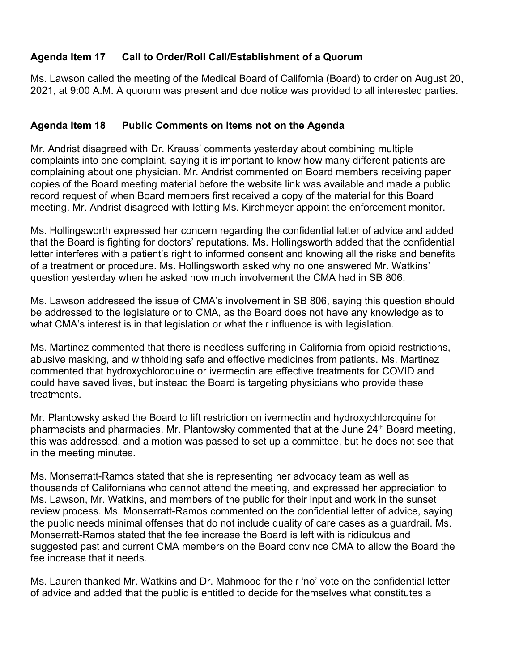# **Agenda Item 17 Call to Order/Roll Call/Establishment of a Quorum**

Ms. Lawson called the meeting of the Medical Board of California (Board) to order on August 20, 2021, at 9:00 A.M. A quorum was present and due notice was provided to all interested parties.

# **Agenda Item 18 Public Comments on Items not on the Agenda**

Mr. Andrist disagreed with Dr. Krauss' comments yesterday about combining multiple complaints into one complaint, saying it is important to know how many different patients are complaining about one physician. Mr. Andrist commented on Board members receiving paper copies of the Board meeting material before the website link was available and made a public record request of when Board members first received a copy of the material for this Board meeting. Mr. Andrist disagreed with letting Ms. Kirchmeyer appoint the enforcement monitor.

Ms. Hollingsworth expressed her concern regarding the confidential letter of advice and added that the Board is fighting for doctors' reputations. Ms. Hollingsworth added that the confidential letter interferes with a patient's right to informed consent and knowing all the risks and benefits of a treatment or procedure. Ms. Hollingsworth asked why no one answered Mr. Watkins' question yesterday when he asked how much involvement the CMA had in SB 806.

Ms. Lawson addressed the issue of CMA's involvement in SB 806, saying this question should be addressed to the legislature or to CMA, as the Board does not have any knowledge as to what CMA's interest is in that legislation or what their influence is with legislation.

Ms. Martinez commented that there is needless suffering in California from opioid restrictions, abusive masking, and withholding safe and effective medicines from patients. Ms. Martinez commented that hydroxychloroquine or ivermectin are effective treatments for COVID and could have saved lives, but instead the Board is targeting physicians who provide these treatments.

Mr. Plantowsky asked the Board to lift restriction on ivermectin and hydroxychloroquine for pharmacists and pharmacies. Mr. Plantowsky commented that at the June 24<sup>th</sup> Board meeting, this was addressed, and a motion was passed to set up a committee, but he does not see that in the meeting minutes.

Ms. Monserratt-Ramos stated that she is representing her advocacy team as well as thousands of Californians who cannot attend the meeting, and expressed her appreciation to Ms. Lawson, Mr. Watkins, and members of the public for their input and work in the sunset review process. Ms. Monserratt-Ramos commented on the confidential letter of advice, saying the public needs minimal offenses that do not include quality of care cases as a guardrail. Ms. Monserratt-Ramos stated that the fee increase the Board is left with is ridiculous and suggested past and current CMA members on the Board convince CMA to allow the Board the fee increase that it needs.

Ms. Lauren thanked Mr. Watkins and Dr. Mahmood for their 'no' vote on the confidential letter of advice and added that the public is entitled to decide for themselves what constitutes a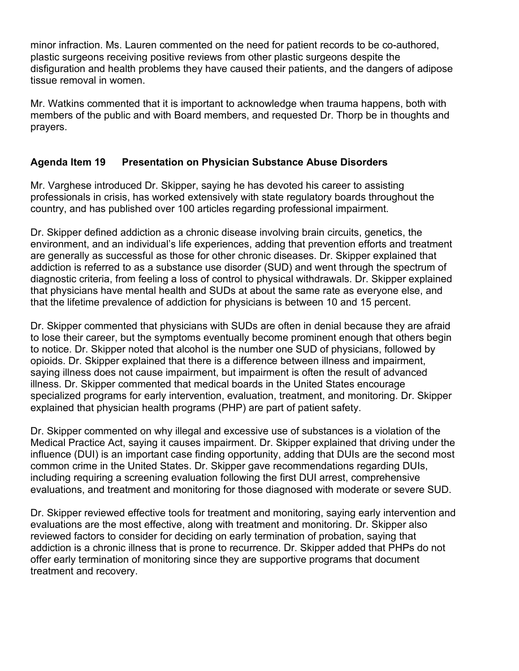minor infraction. Ms. Lauren commented on the need for patient records to be co-authored, plastic surgeons receiving positive reviews from other plastic surgeons despite the disfiguration and health problems they have caused their patients, and the dangers of adipose tissue removal in women.

Mr. Watkins commented that it is important to acknowledge when trauma happens, both with members of the public and with Board members, and requested Dr. Thorp be in thoughts and prayers.

# **Agenda Item 19 Presentation on Physician Substance Abuse Disorders**

Mr. Varghese introduced Dr. Skipper, saying he has devoted his career to assisting professionals in crisis, has worked extensively with state regulatory boards throughout the country, and has published over 100 articles regarding professional impairment.

Dr. Skipper defined addiction as a chronic disease involving brain circuits, genetics, the environment, and an individual's life experiences, adding that prevention efforts and treatment are generally as successful as those for other chronic diseases. Dr. Skipper explained that addiction is referred to as a substance use disorder (SUD) and went through the spectrum of diagnostic criteria, from feeling a loss of control to physical withdrawals. Dr. Skipper explained that physicians have mental health and SUDs at about the same rate as everyone else, and that the lifetime prevalence of addiction for physicians is between 10 and 15 percent.

Dr. Skipper commented that physicians with SUDs are often in denial because they are afraid to lose their career, but the symptoms eventually become prominent enough that others begin to notice. Dr. Skipper noted that alcohol is the number one SUD of physicians, followed by opioids. Dr. Skipper explained that there is a difference between illness and impairment, saying illness does not cause impairment, but impairment is often the result of advanced illness. Dr. Skipper commented that medical boards in the United States encourage specialized programs for early intervention, evaluation, treatment, and monitoring. Dr. Skipper explained that physician health programs (PHP) are part of patient safety.

Dr. Skipper commented on why illegal and excessive use of substances is a violation of the Medical Practice Act, saying it causes impairment. Dr. Skipper explained that driving under the influence (DUI) is an important case finding opportunity, adding that DUIs are the second most common crime in the United States. Dr. Skipper gave recommendations regarding DUIs, including requiring a screening evaluation following the first DUI arrest, comprehensive evaluations, and treatment and monitoring for those diagnosed with moderate or severe SUD.

Dr. Skipper reviewed effective tools for treatment and monitoring, saying early intervention and evaluations are the most effective, along with treatment and monitoring. Dr. Skipper also reviewed factors to consider for deciding on early termination of probation, saying that addiction is a chronic illness that is prone to recurrence. Dr. Skipper added that PHPs do not offer early termination of monitoring since they are supportive programs that document treatment and recovery.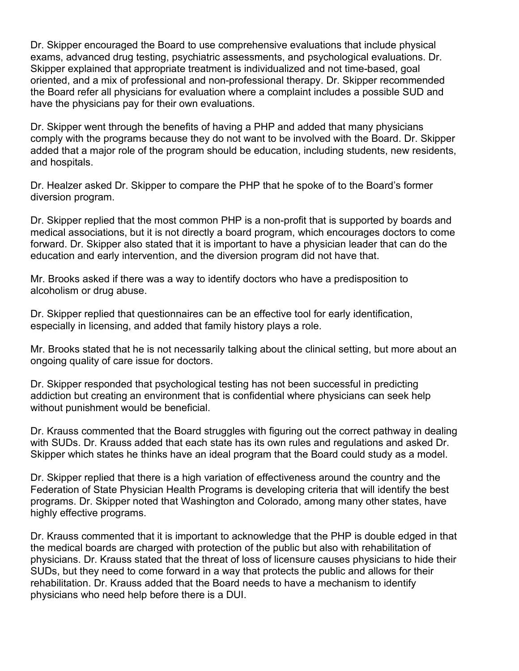Dr. Skipper encouraged the Board to use comprehensive evaluations that include physical exams, advanced drug testing, psychiatric assessments, and psychological evaluations. Dr. Skipper explained that appropriate treatment is individualized and not time-based, goal oriented, and a mix of professional and non-professional therapy. Dr. Skipper recommended the Board refer all physicians for evaluation where a complaint includes a possible SUD and have the physicians pay for their own evaluations.

Dr. Skipper went through the benefits of having a PHP and added that many physicians comply with the programs because they do not want to be involved with the Board. Dr. Skipper added that a major role of the program should be education, including students, new residents, and hospitals.

Dr. Healzer asked Dr. Skipper to compare the PHP that he spoke of to the Board's former diversion program.

Dr. Skipper replied that the most common PHP is a non-profit that is supported by boards and medical associations, but it is not directly a board program, which encourages doctors to come forward. Dr. Skipper also stated that it is important to have a physician leader that can do the education and early intervention, and the diversion program did not have that.

Mr. Brooks asked if there was a way to identify doctors who have a predisposition to alcoholism or drug abuse.

Dr. Skipper replied that questionnaires can be an effective tool for early identification, especially in licensing, and added that family history plays a role.

Mr. Brooks stated that he is not necessarily talking about the clinical setting, but more about an ongoing quality of care issue for doctors.

Dr. Skipper responded that psychological testing has not been successful in predicting addiction but creating an environment that is confidential where physicians can seek help without punishment would be beneficial.

Dr. Krauss commented that the Board struggles with figuring out the correct pathway in dealing with SUDs. Dr. Krauss added that each state has its own rules and regulations and asked Dr. Skipper which states he thinks have an ideal program that the Board could study as a model.

Dr. Skipper replied that there is a high variation of effectiveness around the country and the Federation of State Physician Health Programs is developing criteria that will identify the best programs. Dr. Skipper noted that Washington and Colorado, among many other states, have highly effective programs.

Dr. Krauss commented that it is important to acknowledge that the PHP is double edged in that the medical boards are charged with protection of the public but also with rehabilitation of physicians. Dr. Krauss stated that the threat of loss of licensure causes physicians to hide their SUDs, but they need to come forward in a way that protects the public and allows for their rehabilitation. Dr. Krauss added that the Board needs to have a mechanism to identify physicians who need help before there is a DUI.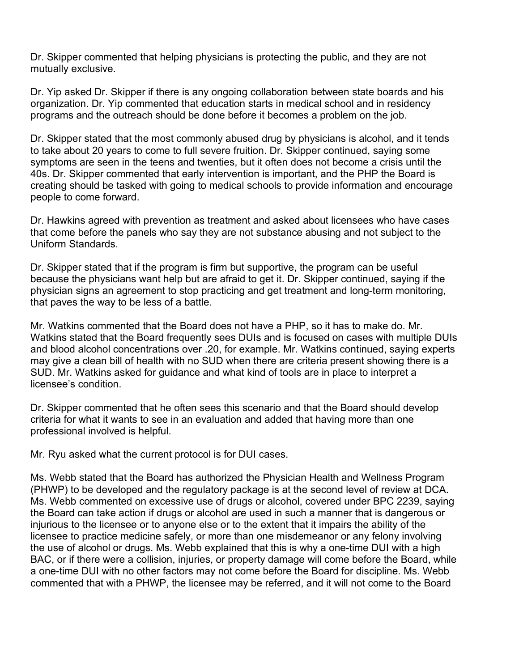Dr. Skipper commented that helping physicians is protecting the public, and they are not mutually exclusive.

Dr. Yip asked Dr. Skipper if there is any ongoing collaboration between state boards and his organization. Dr. Yip commented that education starts in medical school and in residency programs and the outreach should be done before it becomes a problem on the job.

Dr. Skipper stated that the most commonly abused drug by physicians is alcohol, and it tends to take about 20 years to come to full severe fruition. Dr. Skipper continued, saying some symptoms are seen in the teens and twenties, but it often does not become a crisis until the 40s. Dr. Skipper commented that early intervention is important, and the PHP the Board is creating should be tasked with going to medical schools to provide information and encourage people to come forward.

Dr. Hawkins agreed with prevention as treatment and asked about licensees who have cases that come before the panels who say they are not substance abusing and not subject to the Uniform Standards.

Dr. Skipper stated that if the program is firm but supportive, the program can be useful because the physicians want help but are afraid to get it. Dr. Skipper continued, saying if the physician signs an agreement to stop practicing and get treatment and long-term monitoring, that paves the way to be less of a battle.

Mr. Watkins commented that the Board does not have a PHP, so it has to make do. Mr. Watkins stated that the Board frequently sees DUIs and is focused on cases with multiple DUIs and blood alcohol concentrations over .20, for example. Mr. Watkins continued, saying experts may give a clean bill of health with no SUD when there are criteria present showing there is a SUD. Mr. Watkins asked for guidance and what kind of tools are in place to interpret a licensee's condition.

Dr. Skipper commented that he often sees this scenario and that the Board should develop criteria for what it wants to see in an evaluation and added that having more than one professional involved is helpful.

Mr. Ryu asked what the current protocol is for DUI cases.

Ms. Webb stated that the Board has authorized the Physician Health and Wellness Program (PHWP) to be developed and the regulatory package is at the second level of review at DCA. Ms. Webb commented on excessive use of drugs or alcohol, covered under BPC 2239, saying the Board can take action if drugs or alcohol are used in such a manner that is dangerous or injurious to the licensee or to anyone else or to the extent that it impairs the ability of the licensee to practice medicine safely, or more than one misdemeanor or any felony involving the use of alcohol or drugs. Ms. Webb explained that this is why a one-time DUI with a high BAC, or if there were a collision, injuries, or property damage will come before the Board, while a one-time DUI with no other factors may not come before the Board for discipline. Ms. Webb commented that with a PHWP, the licensee may be referred, and it will not come to the Board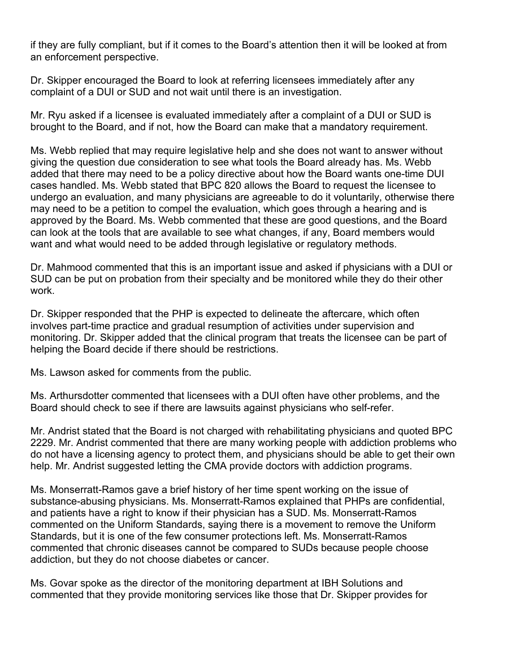if they are fully compliant, but if it comes to the Board's attention then it will be looked at from an enforcement perspective.

Dr. Skipper encouraged the Board to look at referring licensees immediately after any complaint of a DUI or SUD and not wait until there is an investigation.

Mr. Ryu asked if a licensee is evaluated immediately after a complaint of a DUI or SUD is brought to the Board, and if not, how the Board can make that a mandatory requirement.

Ms. Webb replied that may require legislative help and she does not want to answer without giving the question due consideration to see what tools the Board already has. Ms. Webb added that there may need to be a policy directive about how the Board wants one-time DUI cases handled. Ms. Webb stated that BPC 820 allows the Board to request the licensee to undergo an evaluation, and many physicians are agreeable to do it voluntarily, otherwise there may need to be a petition to compel the evaluation, which goes through a hearing and is approved by the Board. Ms. Webb commented that these are good questions, and the Board can look at the tools that are available to see what changes, if any, Board members would want and what would need to be added through legislative or regulatory methods.

Dr. Mahmood commented that this is an important issue and asked if physicians with a DUI or SUD can be put on probation from their specialty and be monitored while they do their other work.

Dr. Skipper responded that the PHP is expected to delineate the aftercare, which often involves part-time practice and gradual resumption of activities under supervision and monitoring. Dr. Skipper added that the clinical program that treats the licensee can be part of helping the Board decide if there should be restrictions.

Ms. Lawson asked for comments from the public.

Ms. Arthursdotter commented that licensees with a DUI often have other problems, and the Board should check to see if there are lawsuits against physicians who self-refer.

Mr. Andrist stated that the Board is not charged with rehabilitating physicians and quoted BPC 2229. Mr. Andrist commented that there are many working people with addiction problems who do not have a licensing agency to protect them, and physicians should be able to get their own help. Mr. Andrist suggested letting the CMA provide doctors with addiction programs.

Ms. Monserratt-Ramos gave a brief history of her time spent working on the issue of substance-abusing physicians. Ms. Monserratt-Ramos explained that PHPs are confidential, and patients have a right to know if their physician has a SUD. Ms. Monserratt-Ramos commented on the Uniform Standards, saying there is a movement to remove the Uniform Standards, but it is one of the few consumer protections left. Ms. Monserratt-Ramos commented that chronic diseases cannot be compared to SUDs because people choose addiction, but they do not choose diabetes or cancer.

Ms. Govar spoke as the director of the monitoring department at IBH Solutions and commented that they provide monitoring services like those that Dr. Skipper provides for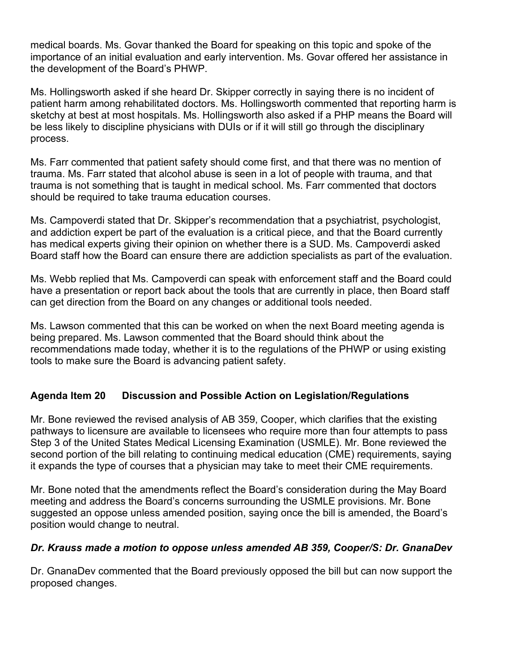medical boards. Ms. Govar thanked the Board for speaking on this topic and spoke of the importance of an initial evaluation and early intervention. Ms. Govar offered her assistance in the development of the Board's PHWP.

Ms. Hollingsworth asked if she heard Dr. Skipper correctly in saying there is no incident of patient harm among rehabilitated doctors. Ms. Hollingsworth commented that reporting harm is sketchy at best at most hospitals. Ms. Hollingsworth also asked if a PHP means the Board will be less likely to discipline physicians with DUIs or if it will still go through the disciplinary process.

Ms. Farr commented that patient safety should come first, and that there was no mention of trauma. Ms. Farr stated that alcohol abuse is seen in a lot of people with trauma, and that trauma is not something that is taught in medical school. Ms. Farr commented that doctors should be required to take trauma education courses.

Ms. Campoverdi stated that Dr. Skipper's recommendation that a psychiatrist, psychologist, and addiction expert be part of the evaluation is a critical piece, and that the Board currently has medical experts giving their opinion on whether there is a SUD. Ms. Campoverdi asked Board staff how the Board can ensure there are addiction specialists as part of the evaluation.

Ms. Webb replied that Ms. Campoverdi can speak with enforcement staff and the Board could have a presentation or report back about the tools that are currently in place, then Board staff can get direction from the Board on any changes or additional tools needed.

Ms. Lawson commented that this can be worked on when the next Board meeting agenda is being prepared. Ms. Lawson commented that the Board should think about the recommendations made today, whether it is to the regulations of the PHWP or using existing tools to make sure the Board is advancing patient safety.

# **Agenda Item 20 Discussion and Possible Action on Legislation/Regulations**

Mr. Bone reviewed the revised analysis of AB 359, Cooper, which clarifies that the existing pathways to licensure are available to licensees who require more than four attempts to pass Step 3 of the United States Medical Licensing Examination (USMLE). Mr. Bone reviewed the second portion of the bill relating to continuing medical education (CME) requirements, saying it expands the type of courses that a physician may take to meet their CME requirements.

Mr. Bone noted that the amendments reflect the Board's consideration during the May Board meeting and address the Board's concerns surrounding the USMLE provisions. Mr. Bone suggested an oppose unless amended position, saying once the bill is amended, the Board's position would change to neutral.

# *Dr. Krauss made a motion to oppose unless amended AB 359, Cooper/S: Dr. GnanaDev*

Dr. GnanaDev commented that the Board previously opposed the bill but can now support the proposed changes.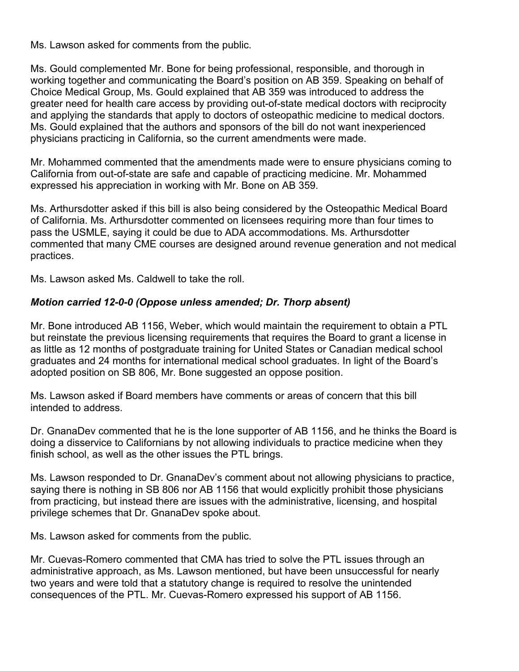Ms. Lawson asked for comments from the public.

Ms. Gould complemented Mr. Bone for being professional, responsible, and thorough in working together and communicating the Board's position on AB 359. Speaking on behalf of Choice Medical Group, Ms. Gould explained that AB 359 was introduced to address the greater need for health care access by providing out-of-state medical doctors with reciprocity and applying the standards that apply to doctors of osteopathic medicine to medical doctors. Ms. Gould explained that the authors and sponsors of the bill do not want inexperienced physicians practicing in California, so the current amendments were made.

Mr. Mohammed commented that the amendments made were to ensure physicians coming to California from out-of-state are safe and capable of practicing medicine. Mr. Mohammed expressed his appreciation in working with Mr. Bone on AB 359.

Ms. Arthursdotter asked if this bill is also being considered by the Osteopathic Medical Board of California. Ms. Arthursdotter commented on licensees requiring more than four times to pass the USMLE, saying it could be due to ADA accommodations. Ms. Arthursdotter commented that many CME courses are designed around revenue generation and not medical practices.

Ms. Lawson asked Ms. Caldwell to take the roll.

#### *Motion carried 12-0-0 (Oppose unless amended; Dr. Thorp absent)*

Mr. Bone introduced AB 1156, Weber, which would maintain the requirement to obtain a PTL but reinstate the previous licensing requirements that requires the Board to grant a license in as little as 12 months of postgraduate training for United States or Canadian medical school graduates and 24 months for international medical school graduates. In light of the Board's adopted position on SB 806, Mr. Bone suggested an oppose position.

Ms. Lawson asked if Board members have comments or areas of concern that this bill intended to address.

Dr. GnanaDev commented that he is the lone supporter of AB 1156, and he thinks the Board is doing a disservice to Californians by not allowing individuals to practice medicine when they finish school, as well as the other issues the PTL brings.

Ms. Lawson responded to Dr. GnanaDev's comment about not allowing physicians to practice, saying there is nothing in SB 806 nor AB 1156 that would explicitly prohibit those physicians from practicing, but instead there are issues with the administrative, licensing, and hospital privilege schemes that Dr. GnanaDev spoke about.

Ms. Lawson asked for comments from the public.

Mr. Cuevas-Romero commented that CMA has tried to solve the PTL issues through an administrative approach, as Ms. Lawson mentioned, but have been unsuccessful for nearly two years and were told that a statutory change is required to resolve the unintended consequences of the PTL. Mr. Cuevas-Romero expressed his support of AB 1156.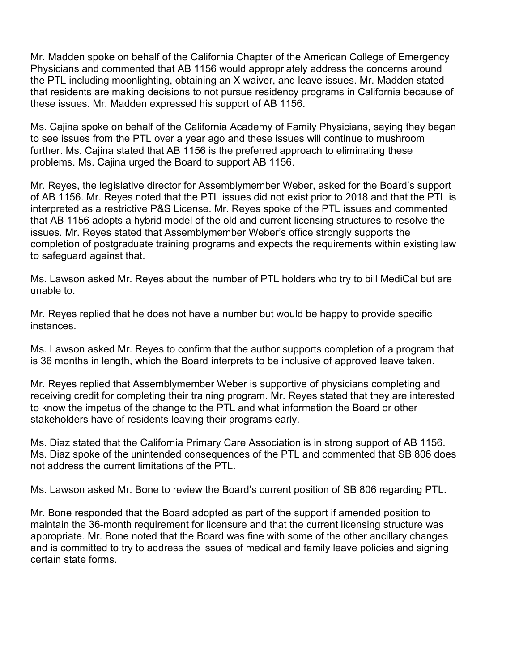Mr. Madden spoke on behalf of the California Chapter of the American College of Emergency Physicians and commented that AB 1156 would appropriately address the concerns around the PTL including moonlighting, obtaining an X waiver, and leave issues. Mr. Madden stated that residents are making decisions to not pursue residency programs in California because of these issues. Mr. Madden expressed his support of AB 1156.

Ms. Cajina spoke on behalf of the California Academy of Family Physicians, saying they began to see issues from the PTL over a year ago and these issues will continue to mushroom further. Ms. Cajina stated that AB 1156 is the preferred approach to eliminating these problems. Ms. Cajina urged the Board to support AB 1156.

Mr. Reyes, the legislative director for Assemblymember Weber, asked for the Board's support of AB 1156. Mr. Reyes noted that the PTL issues did not exist prior to 2018 and that the PTL is interpreted as a restrictive P&S License. Mr. Reyes spoke of the PTL issues and commented that AB 1156 adopts a hybrid model of the old and current licensing structures to resolve the issues. Mr. Reyes stated that Assemblymember Weber's office strongly supports the completion of postgraduate training programs and expects the requirements within existing law to safeguard against that.

Ms. Lawson asked Mr. Reyes about the number of PTL holders who try to bill MediCal but are unable to.

Mr. Reyes replied that he does not have a number but would be happy to provide specific instances.

Ms. Lawson asked Mr. Reyes to confirm that the author supports completion of a program that is 36 months in length, which the Board interprets to be inclusive of approved leave taken.

Mr. Reyes replied that Assemblymember Weber is supportive of physicians completing and receiving credit for completing their training program. Mr. Reyes stated that they are interested to know the impetus of the change to the PTL and what information the Board or other stakeholders have of residents leaving their programs early.

Ms. Diaz stated that the California Primary Care Association is in strong support of AB 1156. Ms. Diaz spoke of the unintended consequences of the PTL and commented that SB 806 does not address the current limitations of the PTL.

Ms. Lawson asked Mr. Bone to review the Board's current position of SB 806 regarding PTL.

Mr. Bone responded that the Board adopted as part of the support if amended position to maintain the 36-month requirement for licensure and that the current licensing structure was appropriate. Mr. Bone noted that the Board was fine with some of the other ancillary changes and is committed to try to address the issues of medical and family leave policies and signing certain state forms.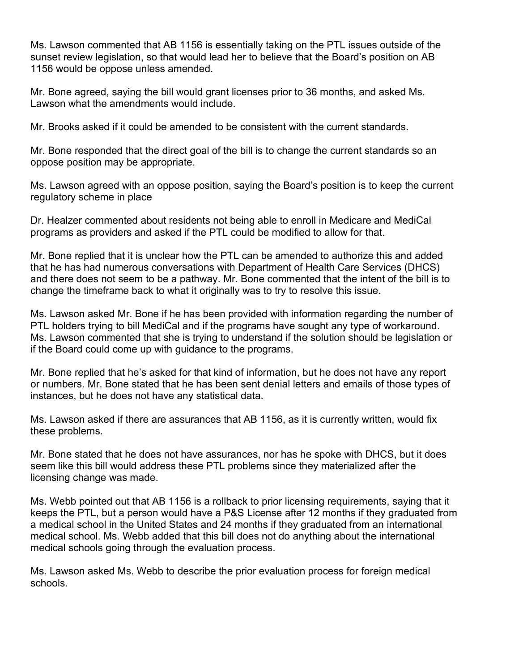Ms. Lawson commented that AB 1156 is essentially taking on the PTL issues outside of the sunset review legislation, so that would lead her to believe that the Board's position on AB 1156 would be oppose unless amended.

Mr. Bone agreed, saying the bill would grant licenses prior to 36 months, and asked Ms. Lawson what the amendments would include.

Mr. Brooks asked if it could be amended to be consistent with the current standards.

Mr. Bone responded that the direct goal of the bill is to change the current standards so an oppose position may be appropriate.

Ms. Lawson agreed with an oppose position, saying the Board's position is to keep the current regulatory scheme in place

Dr. Healzer commented about residents not being able to enroll in Medicare and MediCal programs as providers and asked if the PTL could be modified to allow for that.

Mr. Bone replied that it is unclear how the PTL can be amended to authorize this and added that he has had numerous conversations with Department of Health Care Services (DHCS) and there does not seem to be a pathway. Mr. Bone commented that the intent of the bill is to change the timeframe back to what it originally was to try to resolve this issue.

Ms. Lawson asked Mr. Bone if he has been provided with information regarding the number of PTL holders trying to bill MediCal and if the programs have sought any type of workaround. Ms. Lawson commented that she is trying to understand if the solution should be legislation or if the Board could come up with guidance to the programs.

Mr. Bone replied that he's asked for that kind of information, but he does not have any report or numbers. Mr. Bone stated that he has been sent denial letters and emails of those types of instances, but he does not have any statistical data.

Ms. Lawson asked if there are assurances that AB 1156, as it is currently written, would fix these problems.

Mr. Bone stated that he does not have assurances, nor has he spoke with DHCS, but it does seem like this bill would address these PTL problems since they materialized after the licensing change was made.

Ms. Webb pointed out that AB 1156 is a rollback to prior licensing requirements, saying that it keeps the PTL, but a person would have a P&S License after 12 months if they graduated from a medical school in the United States and 24 months if they graduated from an international medical school. Ms. Webb added that this bill does not do anything about the international medical schools going through the evaluation process.

Ms. Lawson asked Ms. Webb to describe the prior evaluation process for foreign medical schools.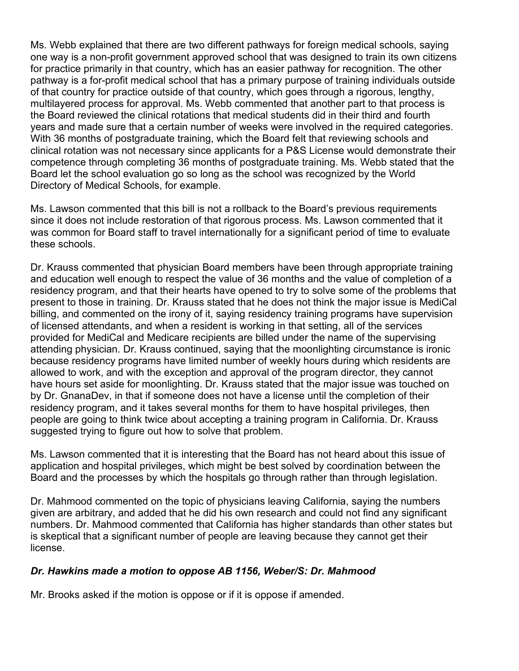Ms. Webb explained that there are two different pathways for foreign medical schools, saying one way is a non-profit government approved school that was designed to train its own citizens for practice primarily in that country, which has an easier pathway for recognition. The other pathway is a for-profit medical school that has a primary purpose of training individuals outside of that country for practice outside of that country, which goes through a rigorous, lengthy, multilayered process for approval. Ms. Webb commented that another part to that process is the Board reviewed the clinical rotations that medical students did in their third and fourth years and made sure that a certain number of weeks were involved in the required categories. With 36 months of postgraduate training, which the Board felt that reviewing schools and clinical rotation was not necessary since applicants for a P&S License would demonstrate their competence through completing 36 months of postgraduate training. Ms. Webb stated that the Board let the school evaluation go so long as the school was recognized by the World Directory of Medical Schools, for example.

Ms. Lawson commented that this bill is not a rollback to the Board's previous requirements since it does not include restoration of that rigorous process. Ms. Lawson commented that it was common for Board staff to travel internationally for a significant period of time to evaluate these schools.

Dr. Krauss commented that physician Board members have been through appropriate training and education well enough to respect the value of 36 months and the value of completion of a residency program, and that their hearts have opened to try to solve some of the problems that present to those in training. Dr. Krauss stated that he does not think the major issue is MediCal billing, and commented on the irony of it, saying residency training programs have supervision of licensed attendants, and when a resident is working in that setting, all of the services provided for MediCal and Medicare recipients are billed under the name of the supervising attending physician. Dr. Krauss continued, saying that the moonlighting circumstance is ironic because residency programs have limited number of weekly hours during which residents are allowed to work, and with the exception and approval of the program director, they cannot have hours set aside for moonlighting. Dr. Krauss stated that the major issue was touched on by Dr. GnanaDev, in that if someone does not have a license until the completion of their residency program, and it takes several months for them to have hospital privileges, then people are going to think twice about accepting a training program in California. Dr. Krauss suggested trying to figure out how to solve that problem.

Ms. Lawson commented that it is interesting that the Board has not heard about this issue of application and hospital privileges, which might be best solved by coordination between the Board and the processes by which the hospitals go through rather than through legislation.

Dr. Mahmood commented on the topic of physicians leaving California, saying the numbers given are arbitrary, and added that he did his own research and could not find any significant numbers. Dr. Mahmood commented that California has higher standards than other states but is skeptical that a significant number of people are leaving because they cannot get their license.

# *Dr. Hawkins made a motion to oppose AB 1156, Weber/S: Dr. Mahmood*

Mr. Brooks asked if the motion is oppose or if it is oppose if amended.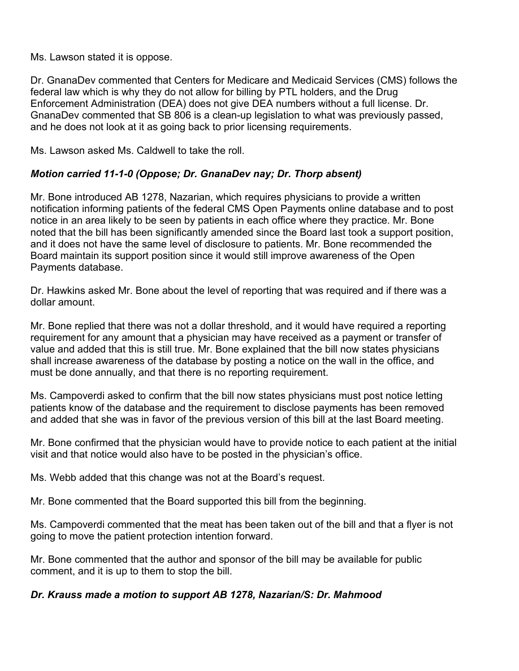Ms. Lawson stated it is oppose.

Dr. GnanaDev commented that Centers for Medicare and Medicaid Services (CMS) follows the federal law which is why they do not allow for billing by PTL holders, and the Drug Enforcement Administration (DEA) does not give DEA numbers without a full license. Dr. GnanaDev commented that SB 806 is a clean-up legislation to what was previously passed, and he does not look at it as going back to prior licensing requirements.

Ms. Lawson asked Ms. Caldwell to take the roll.

# *Motion carried 11-1-0 (Oppose; Dr. GnanaDev nay; Dr. Thorp absent)*

Mr. Bone introduced AB 1278, Nazarian, which requires physicians to provide a written notification informing patients of the federal CMS Open Payments online database and to post notice in an area likely to be seen by patients in each office where they practice. Mr. Bone noted that the bill has been significantly amended since the Board last took a support position, and it does not have the same level of disclosure to patients. Mr. Bone recommended the Board maintain its support position since it would still improve awareness of the Open Payments database.

Dr. Hawkins asked Mr. Bone about the level of reporting that was required and if there was a dollar amount.

Mr. Bone replied that there was not a dollar threshold, and it would have required a reporting requirement for any amount that a physician may have received as a payment or transfer of value and added that this is still true. Mr. Bone explained that the bill now states physicians shall increase awareness of the database by posting a notice on the wall in the office, and must be done annually, and that there is no reporting requirement.

Ms. Campoverdi asked to confirm that the bill now states physicians must post notice letting patients know of the database and the requirement to disclose payments has been removed and added that she was in favor of the previous version of this bill at the last Board meeting.

Mr. Bone confirmed that the physician would have to provide notice to each patient at the initial visit and that notice would also have to be posted in the physician's office.

Ms. Webb added that this change was not at the Board's request.

Mr. Bone commented that the Board supported this bill from the beginning.

Ms. Campoverdi commented that the meat has been taken out of the bill and that a flyer is not going to move the patient protection intention forward.

Mr. Bone commented that the author and sponsor of the bill may be available for public comment, and it is up to them to stop the bill.

# *Dr. Krauss made a motion to support AB 1278, Nazarian/S: Dr. Mahmood*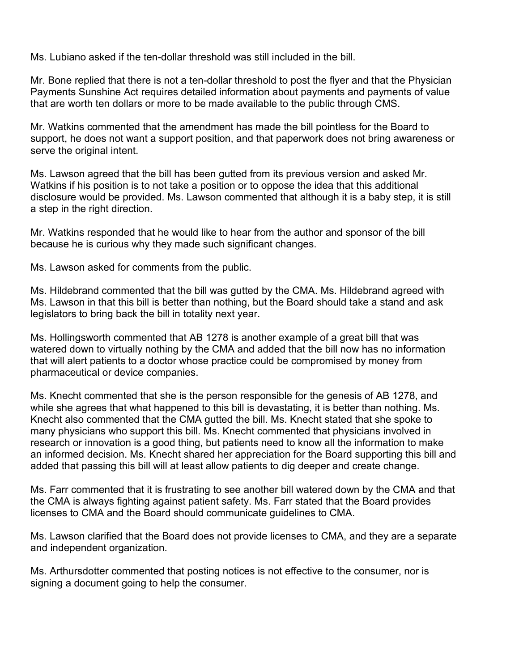Ms. Lubiano asked if the ten-dollar threshold was still included in the bill.

Mr. Bone replied that there is not a ten-dollar threshold to post the flyer and that the Physician Payments Sunshine Act requires detailed information about payments and payments of value that are worth ten dollars or more to be made available to the public through CMS.

Mr. Watkins commented that the amendment has made the bill pointless for the Board to support, he does not want a support position, and that paperwork does not bring awareness or serve the original intent.

Ms. Lawson agreed that the bill has been gutted from its previous version and asked Mr. Watkins if his position is to not take a position or to oppose the idea that this additional disclosure would be provided. Ms. Lawson commented that although it is a baby step, it is still a step in the right direction.

Mr. Watkins responded that he would like to hear from the author and sponsor of the bill because he is curious why they made such significant changes.

Ms. Lawson asked for comments from the public.

Ms. Hildebrand commented that the bill was gutted by the CMA. Ms. Hildebrand agreed with Ms. Lawson in that this bill is better than nothing, but the Board should take a stand and ask legislators to bring back the bill in totality next year.

Ms. Hollingsworth commented that AB 1278 is another example of a great bill that was watered down to virtually nothing by the CMA and added that the bill now has no information that will alert patients to a doctor whose practice could be compromised by money from pharmaceutical or device companies.

Ms. Knecht commented that she is the person responsible for the genesis of AB 1278, and while she agrees that what happened to this bill is devastating, it is better than nothing. Ms. Knecht also commented that the CMA gutted the bill. Ms. Knecht stated that she spoke to many physicians who support this bill. Ms. Knecht commented that physicians involved in research or innovation is a good thing, but patients need to know all the information to make an informed decision. Ms. Knecht shared her appreciation for the Board supporting this bill and added that passing this bill will at least allow patients to dig deeper and create change.

Ms. Farr commented that it is frustrating to see another bill watered down by the CMA and that the CMA is always fighting against patient safety. Ms. Farr stated that the Board provides licenses to CMA and the Board should communicate guidelines to CMA.

Ms. Lawson clarified that the Board does not provide licenses to CMA, and they are a separate and independent organization.

Ms. Arthursdotter commented that posting notices is not effective to the consumer, nor is signing a document going to help the consumer.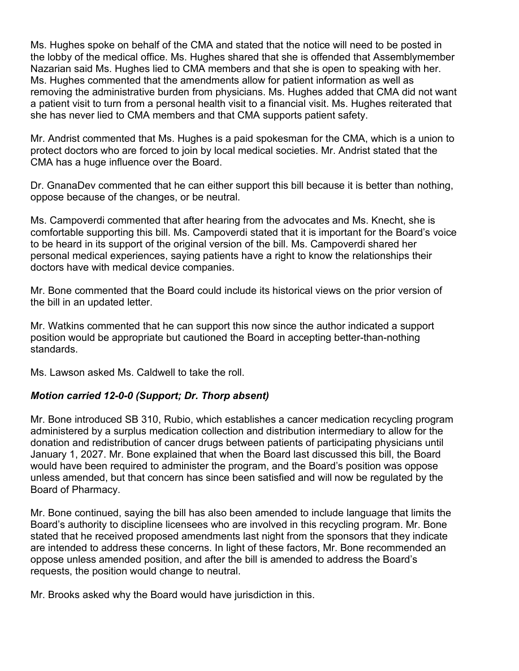Ms. Hughes spoke on behalf of the CMA and stated that the notice will need to be posted in the lobby of the medical office. Ms. Hughes shared that she is offended that Assemblymember Nazarian said Ms. Hughes lied to CMA members and that she is open to speaking with her. Ms. Hughes commented that the amendments allow for patient information as well as removing the administrative burden from physicians. Ms. Hughes added that CMA did not want a patient visit to turn from a personal health visit to a financial visit. Ms. Hughes reiterated that she has never lied to CMA members and that CMA supports patient safety.

Mr. Andrist commented that Ms. Hughes is a paid spokesman for the CMA, which is a union to protect doctors who are forced to join by local medical societies. Mr. Andrist stated that the CMA has a huge influence over the Board.

Dr. GnanaDev commented that he can either support this bill because it is better than nothing, oppose because of the changes, or be neutral.

Ms. Campoverdi commented that after hearing from the advocates and Ms. Knecht, she is comfortable supporting this bill. Ms. Campoverdi stated that it is important for the Board's voice to be heard in its support of the original version of the bill. Ms. Campoverdi shared her personal medical experiences, saying patients have a right to know the relationships their doctors have with medical device companies.

Mr. Bone commented that the Board could include its historical views on the prior version of the bill in an updated letter.

Mr. Watkins commented that he can support this now since the author indicated a support position would be appropriate but cautioned the Board in accepting better-than-nothing standards.

Ms. Lawson asked Ms. Caldwell to take the roll.

# *Motion carried 12-0-0 (Support; Dr. Thorp absent)*

Mr. Bone introduced SB 310, Rubio, which establishes a cancer medication recycling program administered by a surplus medication collection and distribution intermediary to allow for the donation and redistribution of cancer drugs between patients of participating physicians until January 1, 2027. Mr. Bone explained that when the Board last discussed this bill, the Board would have been required to administer the program, and the Board's position was oppose unless amended, but that concern has since been satisfied and will now be regulated by the Board of Pharmacy.

Mr. Bone continued, saying the bill has also been amended to include language that limits the Board's authority to discipline licensees who are involved in this recycling program. Mr. Bone stated that he received proposed amendments last night from the sponsors that they indicate are intended to address these concerns. In light of these factors, Mr. Bone recommended an oppose unless amended position, and after the bill is amended to address the Board's requests, the position would change to neutral.

Mr. Brooks asked why the Board would have jurisdiction in this.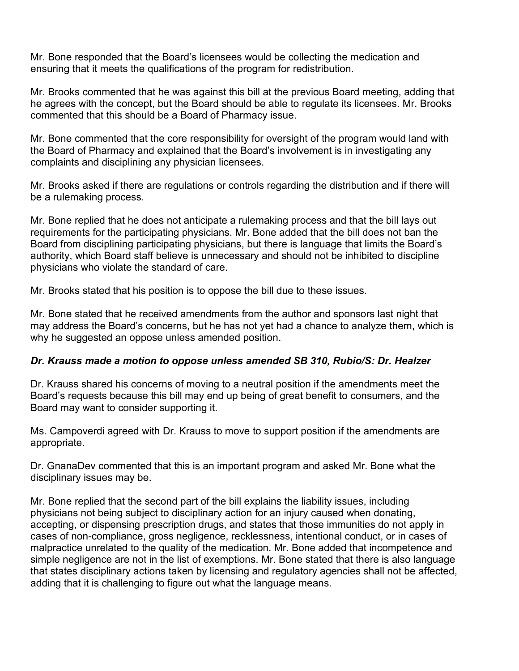Mr. Bone responded that the Board's licensees would be collecting the medication and ensuring that it meets the qualifications of the program for redistribution.

Mr. Brooks commented that he was against this bill at the previous Board meeting, adding that he agrees with the concept, but the Board should be able to regulate its licensees. Mr. Brooks commented that this should be a Board of Pharmacy issue.

Mr. Bone commented that the core responsibility for oversight of the program would land with the Board of Pharmacy and explained that the Board's involvement is in investigating any complaints and disciplining any physician licensees.

Mr. Brooks asked if there are regulations or controls regarding the distribution and if there will be a rulemaking process.

Mr. Bone replied that he does not anticipate a rulemaking process and that the bill lays out requirements for the participating physicians. Mr. Bone added that the bill does not ban the Board from disciplining participating physicians, but there is language that limits the Board's authority, which Board staff believe is unnecessary and should not be inhibited to discipline physicians who violate the standard of care.

Mr. Brooks stated that his position is to oppose the bill due to these issues.

Mr. Bone stated that he received amendments from the author and sponsors last night that may address the Board's concerns, but he has not yet had a chance to analyze them, which is why he suggested an oppose unless amended position.

#### *Dr. Krauss made a motion to oppose unless amended SB 310, Rubio/S: Dr. Healzer*

Dr. Krauss shared his concerns of moving to a neutral position if the amendments meet the Board's requests because this bill may end up being of great benefit to consumers, and the Board may want to consider supporting it.

Ms. Campoverdi agreed with Dr. Krauss to move to support position if the amendments are appropriate.

Dr. GnanaDev commented that this is an important program and asked Mr. Bone what the disciplinary issues may be.

Mr. Bone replied that the second part of the bill explains the liability issues, including physicians not being subject to disciplinary action for an injury caused when donating, accepting, or dispensing prescription drugs, and states that those immunities do not apply in cases of non-compliance, gross negligence, recklessness, intentional conduct, or in cases of malpractice unrelated to the quality of the medication. Mr. Bone added that incompetence and simple negligence are not in the list of exemptions. Mr. Bone stated that there is also language that states disciplinary actions taken by licensing and regulatory agencies shall not be affected, adding that it is challenging to figure out what the language means.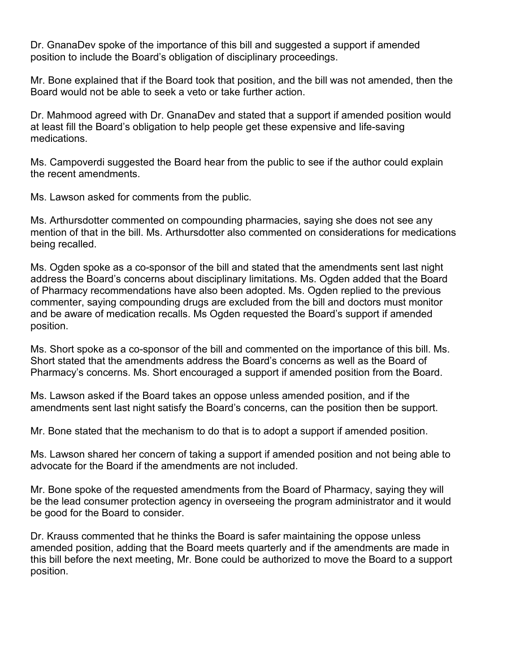Dr. GnanaDev spoke of the importance of this bill and suggested a support if amended position to include the Board's obligation of disciplinary proceedings.

Mr. Bone explained that if the Board took that position, and the bill was not amended, then the Board would not be able to seek a veto or take further action.

Dr. Mahmood agreed with Dr. GnanaDev and stated that a support if amended position would at least fill the Board's obligation to help people get these expensive and life-saving medications.

Ms. Campoverdi suggested the Board hear from the public to see if the author could explain the recent amendments.

Ms. Lawson asked for comments from the public.

Ms. Arthursdotter commented on compounding pharmacies, saying she does not see any mention of that in the bill. Ms. Arthursdotter also commented on considerations for medications being recalled.

Ms. Ogden spoke as a co-sponsor of the bill and stated that the amendments sent last night address the Board's concerns about disciplinary limitations. Ms. Ogden added that the Board of Pharmacy recommendations have also been adopted. Ms. Ogden replied to the previous commenter, saying compounding drugs are excluded from the bill and doctors must monitor and be aware of medication recalls. Ms Ogden requested the Board's support if amended position.

Ms. Short spoke as a co-sponsor of the bill and commented on the importance of this bill. Ms. Short stated that the amendments address the Board's concerns as well as the Board of Pharmacy's concerns. Ms. Short encouraged a support if amended position from the Board.

Ms. Lawson asked if the Board takes an oppose unless amended position, and if the amendments sent last night satisfy the Board's concerns, can the position then be support.

Mr. Bone stated that the mechanism to do that is to adopt a support if amended position.

Ms. Lawson shared her concern of taking a support if amended position and not being able to advocate for the Board if the amendments are not included.

Mr. Bone spoke of the requested amendments from the Board of Pharmacy, saying they will be the lead consumer protection agency in overseeing the program administrator and it would be good for the Board to consider.

Dr. Krauss commented that he thinks the Board is safer maintaining the oppose unless amended position, adding that the Board meets quarterly and if the amendments are made in this bill before the next meeting, Mr. Bone could be authorized to move the Board to a support position.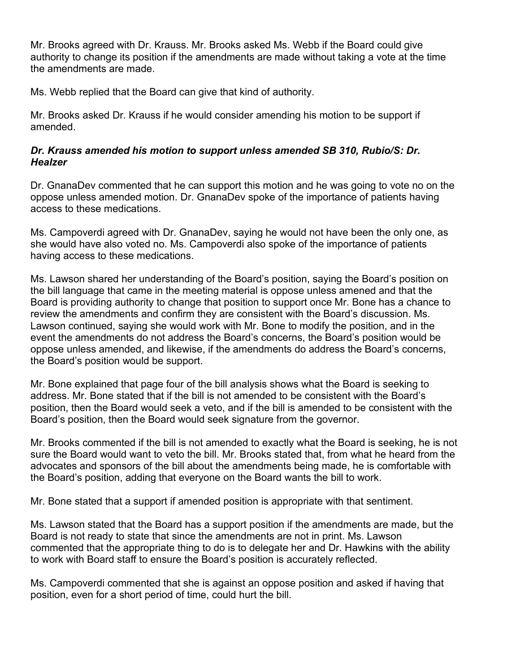Mr. Brooks agreed with Dr. Krauss. Mr. Brooks asked Ms. Webb if the Board could give authority to change its position if the amendments are made without taking a vote at the time the amendments are made.

Ms. Webb replied that the Board can give that kind of authority.

Mr. Brooks asked Dr. Krauss if he would consider amending his motion to be support if amended.

#### *Dr. Krauss amended his motion to support unless amended SB 310, Rubio/S: Dr. Healzer*

Dr. GnanaDev commented that he can support this motion and he was going to vote no on the oppose unless amended motion. Dr. GnanaDev spoke of the importance of patients having access to these medications.

Ms. Campoverdi agreed with Dr. GnanaDev, saying he would not have been the only one, as she would have also voted no. Ms. Campoverdi also spoke of the importance of patients having access to these medications.

Ms. Lawson shared her understanding of the Board's position, saying the Board's position on the bill language that came in the meeting material is oppose unless amened and that the Board is providing authority to change that position to support once Mr. Bone has a chance to review the amendments and confirm they are consistent with the Board's discussion. Ms. Lawson continued, saying she would work with Mr. Bone to modify the position, and in the event the amendments do not address the Board's concerns, the Board's position would be oppose unless amended, and likewise, if the amendments do address the Board's concerns, the Board's position would be support.

Mr. Bone explained that page four of the bill analysis shows what the Board is seeking to address. Mr. Bone stated that if the bill is not amended to be consistent with the Board's position, then the Board would seek a veto, and if the bill is amended to be consistent with the Board's position, then the Board would seek signature from the governor.

Mr. Brooks commented if the bill is not amended to exactly what the Board is seeking, he is not sure the Board would want to veto the bill. Mr. Brooks stated that, from what he heard from the advocates and sponsors of the bill about the amendments being made, he is comfortable with the Board's position, adding that everyone on the Board wants the bill to work.

Mr. Bone stated that a support if amended position is appropriate with that sentiment.

Ms. Lawson stated that the Board has a support position if the amendments are made, but the Board is not ready to state that since the amendments are not in print. Ms. Lawson commented that the appropriate thing to do is to delegate her and Dr. Hawkins with the ability to work with Board staff to ensure the Board's position is accurately reflected.

Ms. Campoverdi commented that she is against an oppose position and asked if having that position, even for a short period of time, could hurt the bill.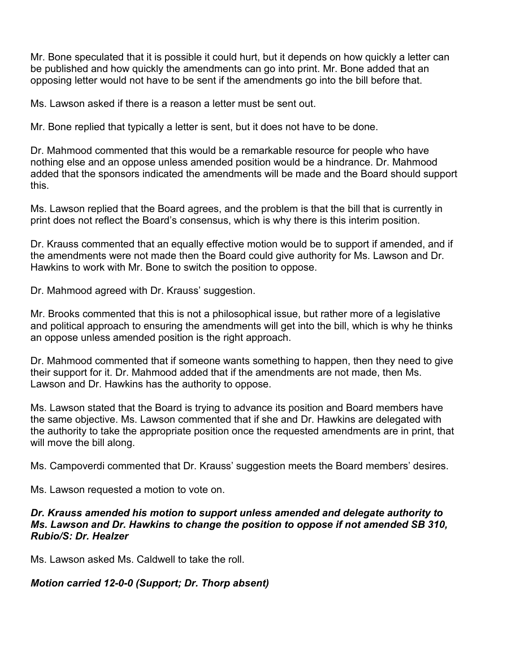Mr. Bone speculated that it is possible it could hurt, but it depends on how quickly a letter can be published and how quickly the amendments can go into print. Mr. Bone added that an opposing letter would not have to be sent if the amendments go into the bill before that.

Ms. Lawson asked if there is a reason a letter must be sent out.

Mr. Bone replied that typically a letter is sent, but it does not have to be done.

Dr. Mahmood commented that this would be a remarkable resource for people who have nothing else and an oppose unless amended position would be a hindrance. Dr. Mahmood added that the sponsors indicated the amendments will be made and the Board should support this.

Ms. Lawson replied that the Board agrees, and the problem is that the bill that is currently in print does not reflect the Board's consensus, which is why there is this interim position.

Dr. Krauss commented that an equally effective motion would be to support if amended, and if the amendments were not made then the Board could give authority for Ms. Lawson and Dr. Hawkins to work with Mr. Bone to switch the position to oppose.

Dr. Mahmood agreed with Dr. Krauss' suggestion.

Mr. Brooks commented that this is not a philosophical issue, but rather more of a legislative and political approach to ensuring the amendments will get into the bill, which is why he thinks an oppose unless amended position is the right approach.

Dr. Mahmood commented that if someone wants something to happen, then they need to give their support for it. Dr. Mahmood added that if the amendments are not made, then Ms. Lawson and Dr. Hawkins has the authority to oppose.

Ms. Lawson stated that the Board is trying to advance its position and Board members have the same objective. Ms. Lawson commented that if she and Dr. Hawkins are delegated with the authority to take the appropriate position once the requested amendments are in print, that will move the bill along.

Ms. Campoverdi commented that Dr. Krauss' suggestion meets the Board members' desires.

Ms. Lawson requested a motion to vote on.

#### *Dr. Krauss amended his motion to support unless amended and delegate authority to Ms. Lawson and Dr. Hawkins to change the position to oppose if not amended SB 310, Rubio/S: Dr. Healzer*

Ms. Lawson asked Ms. Caldwell to take the roll.

#### *Motion carried 12-0-0 (Support; Dr. Thorp absent)*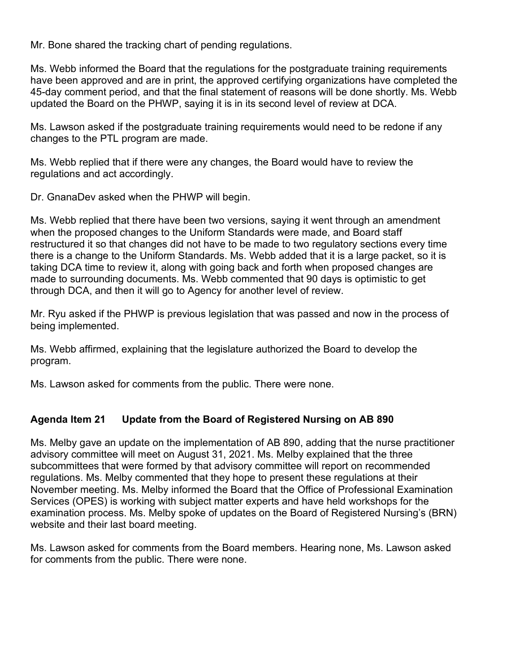Mr. Bone shared the tracking chart of pending regulations.

Ms. Webb informed the Board that the regulations for the postgraduate training requirements have been approved and are in print, the approved certifying organizations have completed the 45-day comment period, and that the final statement of reasons will be done shortly. Ms. Webb updated the Board on the PHWP, saying it is in its second level of review at DCA.

Ms. Lawson asked if the postgraduate training requirements would need to be redone if any changes to the PTL program are made.

Ms. Webb replied that if there were any changes, the Board would have to review the regulations and act accordingly.

Dr. GnanaDev asked when the PHWP will begin.

Ms. Webb replied that there have been two versions, saying it went through an amendment when the proposed changes to the Uniform Standards were made, and Board staff restructured it so that changes did not have to be made to two regulatory sections every time there is a change to the Uniform Standards. Ms. Webb added that it is a large packet, so it is taking DCA time to review it, along with going back and forth when proposed changes are made to surrounding documents. Ms. Webb commented that 90 days is optimistic to get through DCA, and then it will go to Agency for another level of review.

Mr. Ryu asked if the PHWP is previous legislation that was passed and now in the process of being implemented.

Ms. Webb affirmed, explaining that the legislature authorized the Board to develop the program.

Ms. Lawson asked for comments from the public. There were none.

# **Agenda Item 21 Update from the Board of Registered Nursing on AB 890**

Ms. Melby gave an update on the implementation of AB 890, adding that the nurse practitioner advisory committee will meet on August 31, 2021. Ms. Melby explained that the three subcommittees that were formed by that advisory committee will report on recommended regulations. Ms. Melby commented that they hope to present these regulations at their November meeting. Ms. Melby informed the Board that the Office of Professional Examination Services (OPES) is working with subject matter experts and have held workshops for the examination process. Ms. Melby spoke of updates on the Board of Registered Nursing's (BRN) website and their last board meeting.

Ms. Lawson asked for comments from the Board members. Hearing none, Ms. Lawson asked for comments from the public. There were none.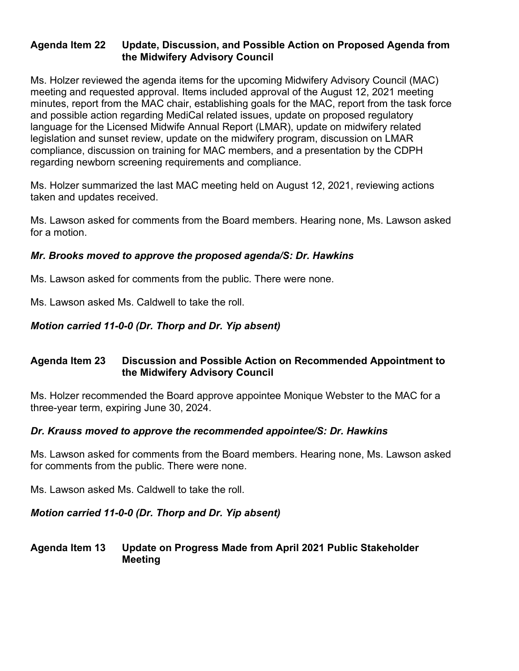# **Agenda Item 22 Update, Discussion, and Possible Action on Proposed Agenda from the Midwifery Advisory Council**

Ms. Holzer reviewed the agenda items for the upcoming Midwifery Advisory Council (MAC) meeting and requested approval. Items included approval of the August 12, 2021 meeting minutes, report from the MAC chair, establishing goals for the MAC, report from the task force and possible action regarding MediCal related issues, update on proposed regulatory language for the Licensed Midwife Annual Report (LMAR), update on midwifery related legislation and sunset review, update on the midwifery program, discussion on LMAR compliance, discussion on training for MAC members, and a presentation by the CDPH regarding newborn screening requirements and compliance.

Ms. Holzer summarized the last MAC meeting held on August 12, 2021, reviewing actions taken and updates received.

Ms. Lawson asked for comments from the Board members. Hearing none, Ms. Lawson asked for a motion.

# *Mr. Brooks moved to approve the proposed agenda/S: Dr. Hawkins*

Ms. Lawson asked for comments from the public. There were none.

Ms. Lawson asked Ms. Caldwell to take the roll.

# *Motion carried 11-0-0 (Dr. Thorp and Dr. Yip absent)*

# **Agenda Item 23 Discussion and Possible Action on Recommended Appointment to the Midwifery Advisory Council**

Ms. Holzer recommended the Board approve appointee Monique Webster to the MAC for a three-year term, expiring June 30, 2024.

# *Dr. Krauss moved to approve the recommended appointee/S: Dr. Hawkins*

Ms. Lawson asked for comments from the Board members. Hearing none, Ms. Lawson asked for comments from the public. There were none.

Ms. Lawson asked Ms. Caldwell to take the roll.

# *Motion carried 11-0-0 (Dr. Thorp and Dr. Yip absent)*

# **Agenda Item 13 Update on Progress Made from April 2021 Public Stakeholder Meeting**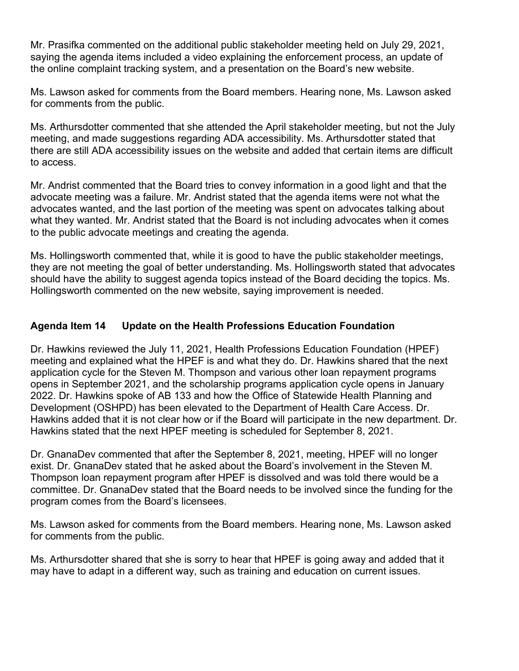Mr. Prasifka commented on the additional public stakeholder meeting held on July 29, 2021, saying the agenda items included a video explaining the enforcement process, an update of the online complaint tracking system, and a presentation on the Board's new website.

Ms. Lawson asked for comments from the Board members. Hearing none, Ms. Lawson asked for comments from the public.

Ms. Arthursdotter commented that she attended the April stakeholder meeting, but not the July meeting, and made suggestions regarding ADA accessibility. Ms. Arthursdotter stated that there are still ADA accessibility issues on the website and added that certain items are difficult to access.

Mr. Andrist commented that the Board tries to convey information in a good light and that the advocate meeting was a failure. Mr. Andrist stated that the agenda items were not what the advocates wanted, and the last portion of the meeting was spent on advocates talking about what they wanted. Mr. Andrist stated that the Board is not including advocates when it comes to the public advocate meetings and creating the agenda.

Ms. Hollingsworth commented that, while it is good to have the public stakeholder meetings, they are not meeting the goal of better understanding. Ms. Hollingsworth stated that advocates should have the ability to suggest agenda topics instead of the Board deciding the topics. Ms. Hollingsworth commented on the new website, saying improvement is needed.

# **Agenda Item 14 Update on the Health Professions Education Foundation**

Dr. Hawkins reviewed the July 11, 2021, Health Professions Education Foundation (HPEF) meeting and explained what the HPEF is and what they do. Dr. Hawkins shared that the next application cycle for the Steven M. Thompson and various other loan repayment programs opens in September 2021, and the scholarship programs application cycle opens in January 2022. Dr. Hawkins spoke of AB 133 and how the Office of Statewide Health Planning and Development (OSHPD) has been elevated to the Department of Health Care Access. Dr. Hawkins added that it is not clear how or if the Board will participate in the new department. Dr. Hawkins stated that the next HPEF meeting is scheduled for September 8, 2021.

Dr. GnanaDev commented that after the September 8, 2021, meeting, HPEF will no longer exist. Dr. GnanaDev stated that he asked about the Board's involvement in the Steven M. Thompson loan repayment program after HPEF is dissolved and was told there would be a committee. Dr. GnanaDev stated that the Board needs to be involved since the funding for the program comes from the Board's licensees.

Ms. Lawson asked for comments from the Board members. Hearing none, Ms. Lawson asked for comments from the public.

Ms. Arthursdotter shared that she is sorry to hear that HPEF is going away and added that it may have to adapt in a different way, such as training and education on current issues.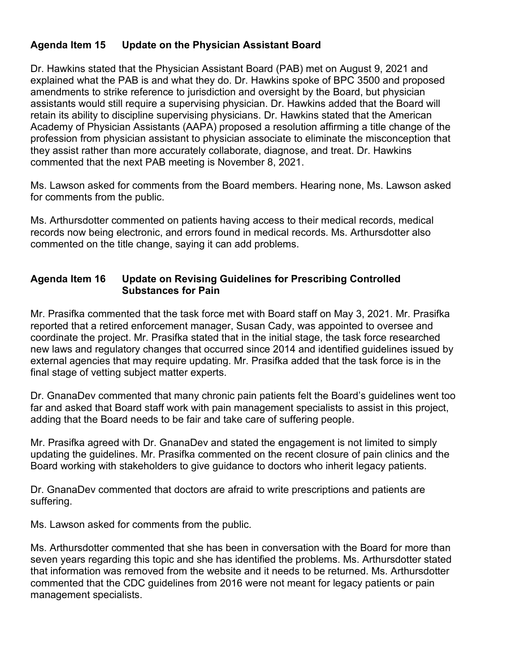# **Agenda Item 15 Update on the Physician Assistant Board**

Dr. Hawkins stated that the Physician Assistant Board (PAB) met on August 9, 2021 and explained what the PAB is and what they do. Dr. Hawkins spoke of BPC 3500 and proposed amendments to strike reference to jurisdiction and oversight by the Board, but physician assistants would still require a supervising physician. Dr. Hawkins added that the Board will retain its ability to discipline supervising physicians. Dr. Hawkins stated that the American Academy of Physician Assistants (AAPA) proposed a resolution affirming a title change of the profession from physician assistant to physician associate to eliminate the misconception that they assist rather than more accurately collaborate, diagnose, and treat. Dr. Hawkins commented that the next PAB meeting is November 8, 2021.

Ms. Lawson asked for comments from the Board members. Hearing none, Ms. Lawson asked for comments from the public.

Ms. Arthursdotter commented on patients having access to their medical records, medical records now being electronic, and errors found in medical records. Ms. Arthursdotter also commented on the title change, saying it can add problems.

#### **Agenda Item 16 Update on Revising Guidelines for Prescribing Controlled Substances for Pain**

Mr. Prasifka commented that the task force met with Board staff on May 3, 2021. Mr. Prasifka reported that a retired enforcement manager, Susan Cady, was appointed to oversee and coordinate the project. Mr. Prasifka stated that in the initial stage, the task force researched new laws and regulatory changes that occurred since 2014 and identified guidelines issued by external agencies that may require updating. Mr. Prasifka added that the task force is in the final stage of vetting subject matter experts.

Dr. GnanaDev commented that many chronic pain patients felt the Board's guidelines went too far and asked that Board staff work with pain management specialists to assist in this project, adding that the Board needs to be fair and take care of suffering people.

Mr. Prasifka agreed with Dr. GnanaDev and stated the engagement is not limited to simply updating the guidelines. Mr. Prasifka commented on the recent closure of pain clinics and the Board working with stakeholders to give guidance to doctors who inherit legacy patients.

Dr. GnanaDev commented that doctors are afraid to write prescriptions and patients are suffering.

Ms. Lawson asked for comments from the public.

Ms. Arthursdotter commented that she has been in conversation with the Board for more than seven years regarding this topic and she has identified the problems. Ms. Arthursdotter stated that information was removed from the website and it needs to be returned. Ms. Arthursdotter commented that the CDC guidelines from 2016 were not meant for legacy patients or pain management specialists.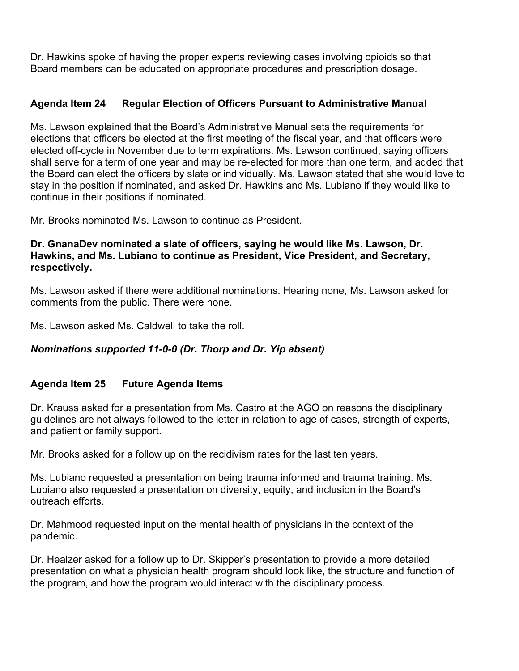Dr. Hawkins spoke of having the proper experts reviewing cases involving opioids so that Board members can be educated on appropriate procedures and prescription dosage.

# **Agenda Item 24 Regular Election of Officers Pursuant to Administrative Manual**

Ms. Lawson explained that the Board's Administrative Manual sets the requirements for elections that officers be elected at the first meeting of the fiscal year, and that officers were elected off-cycle in November due to term expirations. Ms. Lawson continued, saying officers shall serve for a term of one year and may be re-elected for more than one term, and added that the Board can elect the officers by slate or individually. Ms. Lawson stated that she would love to stay in the position if nominated, and asked Dr. Hawkins and Ms. Lubiano if they would like to continue in their positions if nominated.

Mr. Brooks nominated Ms. Lawson to continue as President.

#### **Dr. GnanaDev nominated a slate of officers, saying he would like Ms. Lawson, Dr. Hawkins, and Ms. Lubiano to continue as President, Vice President, and Secretary, respectively.**

Ms. Lawson asked if there were additional nominations. Hearing none, Ms. Lawson asked for comments from the public. There were none.

Ms. Lawson asked Ms. Caldwell to take the roll.

# *Nominations supported 11-0-0 (Dr. Thorp and Dr. Yip absent)*

# **Agenda Item 25 Future Agenda Items**

Dr. Krauss asked for a presentation from Ms. Castro at the AGO on reasons the disciplinary guidelines are not always followed to the letter in relation to age of cases, strength of experts, and patient or family support.

Mr. Brooks asked for a follow up on the recidivism rates for the last ten years.

Ms. Lubiano requested a presentation on being trauma informed and trauma training. Ms. Lubiano also requested a presentation on diversity, equity, and inclusion in the Board's outreach efforts.

Dr. Mahmood requested input on the mental health of physicians in the context of the pandemic.

Dr. Healzer asked for a follow up to Dr. Skipper's presentation to provide a more detailed presentation on what a physician health program should look like, the structure and function of the program, and how the program would interact with the disciplinary process.